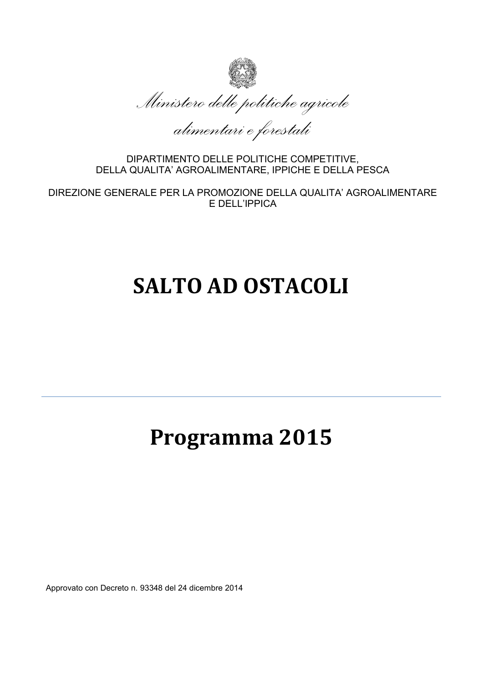

*alimentari e forestali*

DIPARTIMENTO DELLE POLITICHE COMPETITIVE, DELLA QUALITA' AGROALIMENTARE, IPPICHE E DELLA PESCA

DIREZIONE GENERALE PER LA PROMOZIONE DELLA QUALITA' AGROALIMENTARE E DELL'IPPICA

# **SALTO AD OSTACOLI**

## **Programma 2015**

Approvato con Decreto n. 93348 del 24 dicembre 2014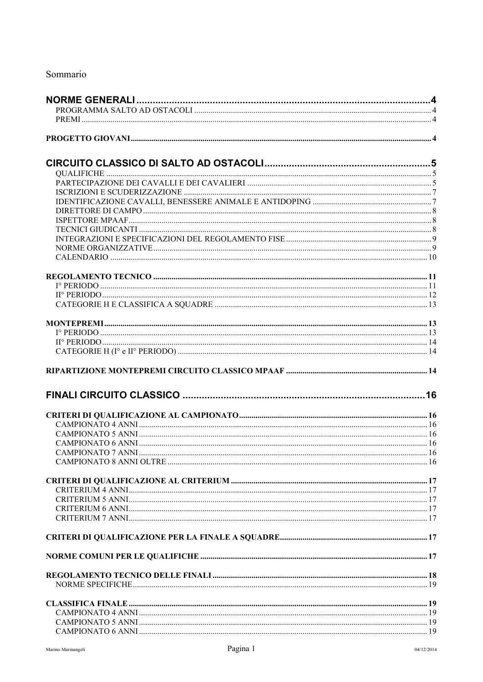## Sommario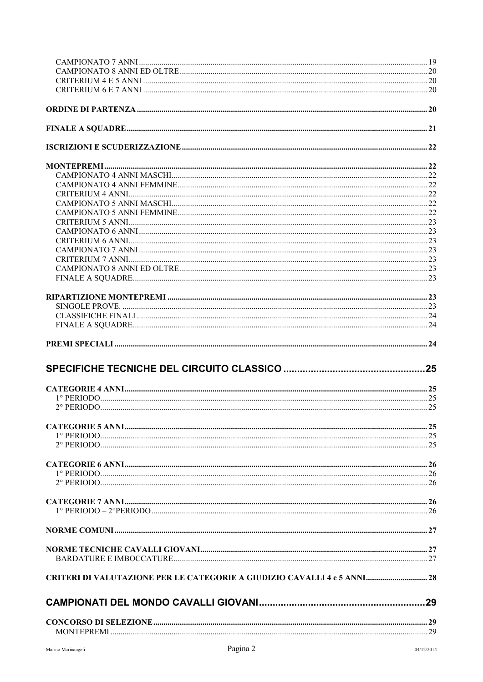| <b>CRITERI DI VALUTAZIONE PER LE CATEGORIE A GIUDIZIO CAVALLI 4 e 5 ANNI 28</b> |  |
|---------------------------------------------------------------------------------|--|
|                                                                                 |  |
|                                                                                 |  |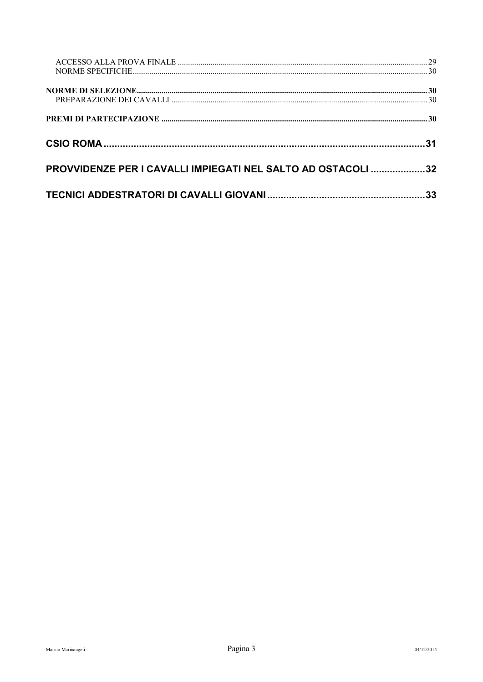| NORME SPECIFICHE                                             |    |
|--------------------------------------------------------------|----|
|                                                              |    |
|                                                              |    |
|                                                              |    |
|                                                              |    |
|                                                              |    |
|                                                              |    |
|                                                              |    |
|                                                              |    |
| PROVVIDENZE PER I CAVALLI IMPIEGATI NEL SALTO AD OSTACOLI 32 |    |
|                                                              |    |
|                                                              | 33 |
|                                                              |    |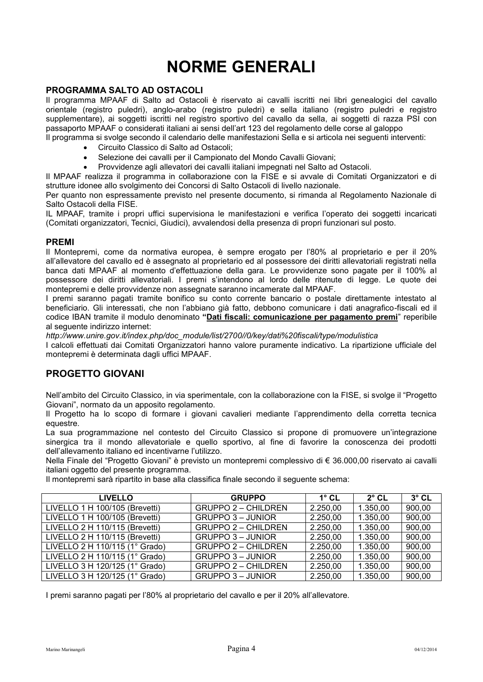## **NORME GENERALI**

#### <span id="page-4-1"></span><span id="page-4-0"></span>**PROGRAMMA SALTO AD OSTACOLI**

Il programma MPAAF di Salto ad Ostacoli è riservato ai cavalli iscritti nei libri genealogici del cavallo orientale (registro puledri), anglo-arabo (registro puledri) e sella italiano (registro puledri e registro supplementare), ai soggetti iscritti nel registro sportivo del cavallo da sella, ai soggetti di razza PSI con passaporto MPAAF o considerati italiani ai sensi dell'art 123 del regolamento delle corse al galoppo

Il programma si svolge secondo il calendario delle manifestazioni Sella e si articola nei seguenti interventi:

- Circuito Classico di Salto ad Ostacoli;
- Selezione dei cavalli per il Campionato del Mondo Cavalli Giovani;
- Provvidenze agli allevatori dei cavalli italiani impegnati nel Salto ad Ostacoli.

Il MPAAF realizza il programma in collaborazione con la FISE e si avvale di Comitati Organizzatori e di strutture idonee allo svolgimento dei Concorsi di Salto Ostacoli di livello nazionale.

Per quanto non espressamente previsto nel presente documento, si rimanda al Regolamento Nazionale di Salto Ostacoli della FISE.

IL MPAAF, tramite i propri uffici supervisiona le manifestazioni e verifica l'operato dei soggetti incaricati (Comitati organizzatori, Tecnici, Giudici), avvalendosi della presenza di propri funzionari sul posto.

#### <span id="page-4-2"></span>**PREMI**

Il Montepremi, come da normativa europea, è sempre erogato per l'80% al proprietario e per il 20% all'allevatore del cavallo ed è assegnato al proprietario ed al possessore dei diritti allevatoriali registrati nella banca dati MPAAF al momento d'effettuazione della gara. Le provvidenze sono pagate per il 100% al possessore dei diritti allevatoriali. I premi s'intendono al lordo delle ritenute di legge. Le quote dei montepremi e delle provvidenze non assegnate saranno incamerate dal MPAAF.

I premi saranno pagati tramite bonifico su conto corrente bancario o postale direttamente intestato al beneficiario. Gli interessati, che non l'abbiano già fatto, debbono comunicare i dati anagrafico-fiscali ed il codice IBAN tramite il modulo denominato **["Dati fiscali: comunicazione per pagamento premi](http://www.unire.gov.it/index.php/ita/content/download/3871/45987/file/Mod_comunicazione_dati_fiscali_per_premi_unificato_2010.doc)**" reperibile al seguente indirizzo internet:

*http://www.unire.gov.it/index.php/doc\_module/list/2700//0/key/dati%20fiscali/type/modulistica* 

I calcoli effettuati dai Comitati Organizzatori hanno valore puramente indicativo. La ripartizione ufficiale del montepremi è determinata dagli uffici MPAAF.

## <span id="page-4-3"></span>**PROGETTO GIOVANI**

Nell'ambito del Circuito Classico, in via sperimentale, con la collaborazione con la FISE, si svolge il "Progetto Giovani", normato da un apposito regolamento.

Il Progetto ha lo scopo di formare i giovani cavalieri mediante l'apprendimento della corretta tecnica equestre.

La sua programmazione nel contesto del Circuito Classico si propone di promuovere un'integrazione sinergica tra il mondo allevatoriale e quello sportivo, al fine di favorire la conoscenza dei prodotti dell'allevamento italiano ed incentivarne l'utilizzo.

Nella Finale del "Progetto Giovani" è previsto un montepremi complessivo di € 36.000,00 riservato ai cavalli italiani oggetto del presente programma.

Il montepremi sarà ripartito in base alla classifica finale secondo il seguente schema:

| <b>LIVELLO</b>                 | <b>GRUPPO</b>              | $1^\circ$ CL | $2^\circ$ CL | $3^\circ$ CL |
|--------------------------------|----------------------------|--------------|--------------|--------------|
| LIVELLO 1 H 100/105 (Brevetti) | <b>GRUPPO 2 - CHILDREN</b> | 2.250,00     | 1.350,00     | 900,00       |
| LIVELLO 1 H 100/105 (Brevetti) | <b>GRUPPO 3 - JUNIOR</b>   | 2.250,00     | 1.350,00     | 900,00       |
| LIVELLO 2 H 110/115 (Brevetti) | <b>GRUPPO 2 - CHILDREN</b> | 2.250,00     | 1.350,00     | 900,00       |
| LIVELLO 2 H 110/115 (Brevetti) | <b>GRUPPO 3 - JUNIOR</b>   | 2.250,00     | 1.350,00     | 900,00       |
| LIVELLO 2 H 110/115 (1° Grado) | <b>GRUPPO 2 - CHILDREN</b> | 2.250,00     | 1.350,00     | 900,00       |
| LIVELLO 2 H 110/115 (1° Grado) | <b>GRUPPO 3 - JUNIOR</b>   | 2.250,00     | 1.350,00     | 900,00       |
| LIVELLO 3 H 120/125 (1° Grado) | <b>GRUPPO 2 - CHILDREN</b> | 2.250,00     | 1.350,00     | 900,00       |
| LIVELLO 3 H 120/125 (1° Grado) | <b>GRUPPO 3 - JUNIOR</b>   | 2.250,00     | 1.350,00     | 900,00       |

I premi saranno pagati per l'80% al proprietario del cavallo e per il 20% all'allevatore.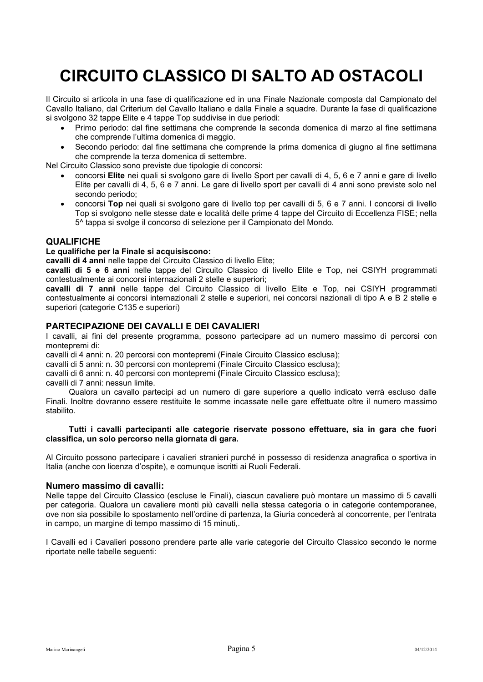## <span id="page-5-0"></span>**CIRCUITO CLASSICO DI SALTO AD OSTACOLI**

Il Circuito si articola in una fase di qualificazione ed in una Finale Nazionale composta dal Campionato del Cavallo Italiano, dal Criterium del Cavallo Italiano e dalla Finale a squadre. Durante la fase di qualificazione si svolgono 32 tappe Elite e 4 tappe Top suddivise in due periodi:

- Primo periodo: dal fine settimana che comprende la seconda domenica di marzo al fine settimana che comprende l'ultima domenica di maggio.
- Secondo periodo: dal fine settimana che comprende la prima domenica di giugno al fine settimana che comprende la terza domenica di settembre.

Nel Circuito Classico sono previste due tipologie di concorsi:

- concorsi **Elite** nei quali si svolgono gare di livello Sport per cavalli di 4, 5, 6 e 7 anni e gare di livello Elite per cavalli di 4, 5, 6 e 7 anni. Le gare di livello sport per cavalli di 4 anni sono previste solo nel secondo periodo;
- concorsi **Top** nei quali si svolgono gare di livello top per cavalli di 5, 6 e 7 anni. I concorsi di livello Top si svolgono nelle stesse date e località delle prime 4 tappe del Circuito di Eccellenza FISE; nella 5^ tappa si svolge il concorso di selezione per il Campionato del Mondo.

#### <span id="page-5-1"></span>**QUALIFICHE**

#### **Le qualifiche per la Finale si acquisiscono:**

**cavalli di 4 anni** nelle tappe del Circuito Classico di livello Elite;

**cavalli di 5 e 6 anni** nelle tappe del Circuito Classico di livello Elite e Top, nei CSIYH programmati contestualmente ai concorsi internazionali 2 stelle e superiori;

**cavalli di 7 anni** nelle tappe del Circuito Classico di livello Elite e Top, nei CSIYH programmati contestualmente ai concorsi internazionali 2 stelle e superiori, nei concorsi nazionali di tipo A e B 2 stelle e superiori (categorie C135 e superiori)

#### <span id="page-5-2"></span>**PARTECIPAZIONE DEI CAVALLI E DEI CAVALIERI**

I cavalli, ai fini del presente programma, possono partecipare ad un numero massimo di percorsi con montepremi di:

cavalli di 4 anni: n. 20 percorsi con montepremi (Finale Circuito Classico esclusa);

cavalli di 5 anni: n. 30 percorsi con montepremi (Finale Circuito Classico esclusa);

cavalli di 6 anni: n. 40 percorsi con montepremi **(**Finale Circuito Classico esclusa);

cavalli di 7 anni: nessun limite.

Qualora un cavallo partecipi ad un numero di gare superiore a quello indicato verrà escluso dalle Finali. Inoltre dovranno essere restituite le somme incassate nelle gare effettuate oltre il numero massimo stabilito.

#### **Tutti i cavalli partecipanti alle categorie riservate possono effettuare, sia in gara che fuori classifica, un solo percorso nella giornata di gara.**

Al Circuito possono partecipare i cavalieri stranieri purché in possesso di residenza anagrafica o sportiva in Italia (anche con licenza d'ospite), e comunque iscritti ai Ruoli Federali.

#### **Numero massimo di cavalli:**

Nelle tappe del Circuito Classico (escluse le Finali), ciascun cavaliere può montare un massimo di 5 cavalli per categoria. Qualora un cavaliere monti più cavalli nella stessa categoria o in categorie contemporanee, ove non sia possibile lo spostamento nell'ordine di partenza, la Giuria concederà al concorrente, per l'entrata in campo, un margine di tempo massimo di 15 minuti,.

I Cavalli ed i Cavalieri possono prendere parte alle varie categorie del Circuito Classico secondo le norme riportate nelle tabelle seguenti: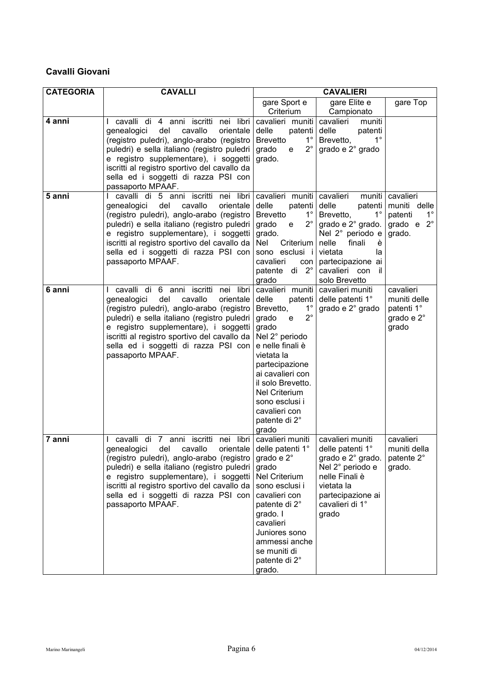## **Cavalli Giovani**

| <b>CATEGORIA</b> | <b>CAVALLI</b>                                                                                                                                                                                                                                                                                                                          | <b>CAVALIERI</b>                                                                                                                                                                                                                                                                                    |                                                                                                                                                                                               |                                                                              |
|------------------|-----------------------------------------------------------------------------------------------------------------------------------------------------------------------------------------------------------------------------------------------------------------------------------------------------------------------------------------|-----------------------------------------------------------------------------------------------------------------------------------------------------------------------------------------------------------------------------------------------------------------------------------------------------|-----------------------------------------------------------------------------------------------------------------------------------------------------------------------------------------------|------------------------------------------------------------------------------|
|                  |                                                                                                                                                                                                                                                                                                                                         | gare Sport e                                                                                                                                                                                                                                                                                        | gare Elite e                                                                                                                                                                                  | gare Top                                                                     |
|                  |                                                                                                                                                                                                                                                                                                                                         | Criterium                                                                                                                                                                                                                                                                                           | Campionato                                                                                                                                                                                    |                                                                              |
| 4 anni           | cavalli di 4 anni iscritti nei libri<br>del<br>cavallo<br>orientale<br>genealogici<br>(registro puledri), anglo-arabo (registro<br>puledri) e sella italiano (registro puledri  <br>e registro supplementare), i soggetti<br>iscritti al registro sportivo del cavallo da<br>sella ed i soggetti di razza PSI con<br>passaporto MPAAF.  | cavalieri muniti<br>delle<br>patenti<br>$1^{\circ}$<br><b>Brevetto</b><br>$2^{\circ}$<br>grado<br>e<br>grado.                                                                                                                                                                                       | cavalieri<br>muniti<br>delle<br>patenti<br>Brevetto,<br>$1^{\circ}$<br>grado e 2° grado                                                                                                       |                                                                              |
| 5 anni           | I cavalli di 5 anni iscritti nei libri<br>del<br>cavallo<br>genealogici<br>orientale<br>(registro puledri), anglo-arabo (registro)<br>puledri) e sella italiano (registro puledri<br>e registro supplementare), i soggetti<br>iscritti al registro sportivo del cavallo da<br>sella ed i soggetti di razza PSI con<br>passaporto MPAAF. | cavalieri muniti cavalieri<br>delle<br>patenti delle<br>$1^{\circ}$<br><b>Brevetto</b><br>$2^{\circ}$<br>grado<br>e<br>grado.<br>Nel<br>Criterium<br>sono esclusi i<br>cavalieri<br>con<br>patente di 2°<br>grado                                                                                   | muniti<br>patenti<br>$1^{\circ}$<br>Brevetto,<br>grado e 2° grado.<br>Nel 2° periodo e<br>nelle<br>finali<br>è<br>vietata<br>la<br>partecipazione ai<br>cavalieri con<br>-il<br>solo Brevetto | cavalieri<br>muniti delle<br>patenti<br>$1^{\circ}$<br>grado $e^2$<br>grado. |
| 6 anni           | cavalli di 6 anni iscritti nei libri<br>cavallo<br>genealogici<br>del<br>orientale<br>(registro puledri), anglo-arabo (registro<br>puledri) e sella italiano (registro puledri<br>e registro supplementare), i soggetti<br>iscritti al registro sportivo del cavallo da  <br>sella ed i soggetti di razza PSI con<br>passaporto MPAAF.  | cavalieri muniti<br>delle<br>patenti<br>$1^{\circ}$<br>Brevetto,<br>$2^{\circ}$<br>grado<br>e<br>grado<br>Nel 2° periodo<br>e nelle finali è<br>vietata la<br>partecipazione<br>ai cavalieri con<br>il solo Brevetto.<br>Nel Criterium<br>sono esclusi i<br>cavalieri con<br>patente di 2°<br>grado | cavalieri muniti<br>delle patenti 1°<br>grado e 2° grado                                                                                                                                      | cavalieri<br>muniti delle<br>patenti 1°<br>grado e 2°<br>grado               |
| 7 anni           | cavalli di 7 anni iscritti nei libri<br>genealogici del cavallo orientale<br>(registro puledri), anglo-arabo (registro<br>puledri) e sella italiano (registro puledri<br>e registro supplementare), i soggetti<br>iscritti al registro sportivo del cavallo da<br>sella ed i soggetti di razza PSI con<br>passaporto MPAAF.             | cavalieri muniti<br>delle patenti 1°<br>grado e $2^\circ$<br>grado<br>Nel Criterium<br>sono esclusi i<br>cavalieri con<br>patente di 2°<br>grado. I<br>cavalieri<br>Juniores sono<br>ammessi anche<br>se muniti di<br>patente di 2°<br>grado.                                                       | cavalieri muniti<br>delle patenti 1°<br>grado e 2° grado.<br>Nel 2° periodo e<br>nelle Finali è<br>vietata la<br>partecipazione ai<br>cavalieri di 1°<br>grado                                | cavalieri<br>muniti della<br>patente 2°<br>grado.                            |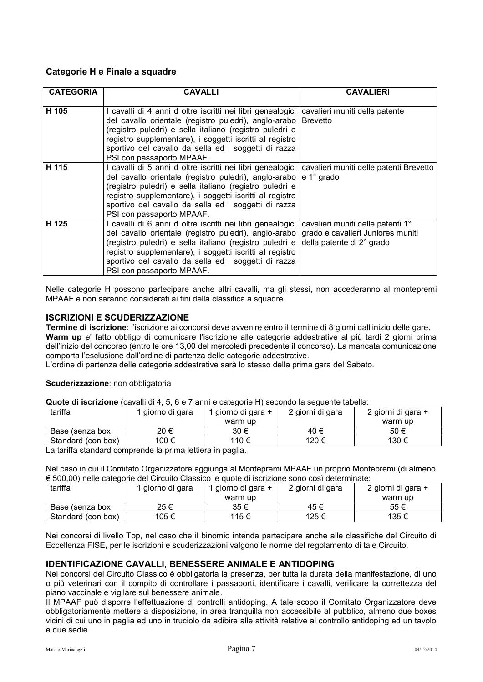### **Categorie H e Finale a squadre**

| <b>CATEGORIA</b> | <b>CAVALLI</b>                                                                                                                                                                                                                                                                                                                             | <b>CAVALIERI</b>                                                                                    |
|------------------|--------------------------------------------------------------------------------------------------------------------------------------------------------------------------------------------------------------------------------------------------------------------------------------------------------------------------------------------|-----------------------------------------------------------------------------------------------------|
| H 105            | I cavalli di 4 anni d oltre iscritti nei libri genealogici<br>del cavallo orientale (registro puledri), anglo-arabo Brevetto<br>(registro puledri) e sella italiano (registro puledri e<br>registro supplementare), i soggetti iscritti al registro<br>sportivo del cavallo da sella ed i soggetti di razza<br>PSI con passaporto MPAAF.   | cavalieri muniti della patente                                                                      |
| H 115            | I cavalli di 5 anni d oltre iscritti nei libri genealogici<br>del cavallo orientale (registro puledri), anglo-arabo e 1° grado<br>(registro puledri) e sella italiano (registro puledri e<br>registro supplementare), i soggetti iscritti al registro<br>sportivo del cavallo da sella ed i soggetti di razza<br>PSI con passaporto MPAAF. | cavalieri muniti delle patenti Brevetto                                                             |
| H 125            | I cavalli di 6 anni d oltre iscritti nei libri genealogici<br>del cavallo orientale (registro puledri), anglo-arabo<br>(registro puledri) e sella italiano (registro puledri e<br>registro supplementare), i soggetti iscritti al registro<br>sportivo del cavallo da sella ed i soggetti di razza<br>PSI con passaporto MPAAF.            | cavalieri muniti delle patenti 1°<br>grado e cavalieri Juniores muniti<br>della patente di 2° grado |

Nelle categorie H possono partecipare anche altri cavalli, ma gli stessi, non accederanno al montepremi MPAAF e non saranno considerati ai fini della classifica a squadre.

### <span id="page-7-0"></span>**ISCRIZIONI E SCUDERIZZAZIONE**

**Termine di iscrizione**: l'iscrizione ai concorsi deve avvenire entro il termine di 8 giorni dall'inizio delle gare. **Warm up** e' fatto obbligo di comunicare l'iscrizione alle categorie addestrative al più tardi 2 giorni prima dell'inizio del concorso (entro le ore 13,00 del mercoledì precedente il concorso). La mancata comunicazione comporta l'esclusione dall'ordine di partenza delle categorie addestrative.

L'ordine di partenza delle categorie addestrative sarà lo stesso della prima gara del Sabato.

#### **Scuderizzazione**: non obbligatoria

**Quote di iscrizione** (cavalli di 4, 5, 6 e 7 anni e categorie H) secondo la seguente tabella:

| tariffa            | giorno di gara | 1 giorno di gara + | 2 giorni di gara | 2 giorni di gara + |
|--------------------|----------------|--------------------|------------------|--------------------|
|                    |                | warm up            |                  | warm up            |
| Base (senza box    | 20 €           | 30 €               | 40 €             | 50 €               |
| Standard (con box) | 100 €          | 110 €              | 120 €            | 130 €              |

La tariffa standard comprende la prima lettiera in paglia.

Nel caso in cui il Comitato Organizzatore aggiunga al Montepremi MPAAF un proprio Montepremi (di almeno € 500,00) nelle categorie del Circuito Classico le quote di iscrizione sono così determinate:

| tariffa            | giorno di gara | 1 giorno di gara + | 2 giorni di gara | 2 giorni di gara + |
|--------------------|----------------|--------------------|------------------|--------------------|
|                    |                | warm up            |                  | warm up            |
| Base (senza box    | 25 €           | 35€                | 45€              | 55€                |
| Standard (con box) | 105€           | 115 €              | 125 €            | 135 €              |

Nei concorsi di livello Top, nel caso che il binomio intenda partecipare anche alle classifiche del Circuito di Eccellenza FISE, per le iscrizioni e scuderizzazioni valgono le norme del regolamento di tale Circuito.

## <span id="page-7-1"></span>**IDENTIFICAZIONE CAVALLI, BENESSERE ANIMALE E ANTIDOPING**

Nei concorsi del Circuito Classico è obbligatoria la presenza, per tutta la durata della manifestazione, di uno o più veterinari con il compito di controllare i passaporti, identificare i cavalli, verificare la correttezza del piano vaccinale e vigilare sul benessere animale.

Il MPAAF può disporre l'effettuazione di controlli antidoping. A tale scopo il Comitato Organizzatore deve obbligatoriamente mettere a disposizione, in area tranquilla non accessibile al pubblico, almeno due boxes vicini di cui uno in paglia ed uno in truciolo da adibire alle attività relative al controllo antidoping ed un tavolo e due sedie.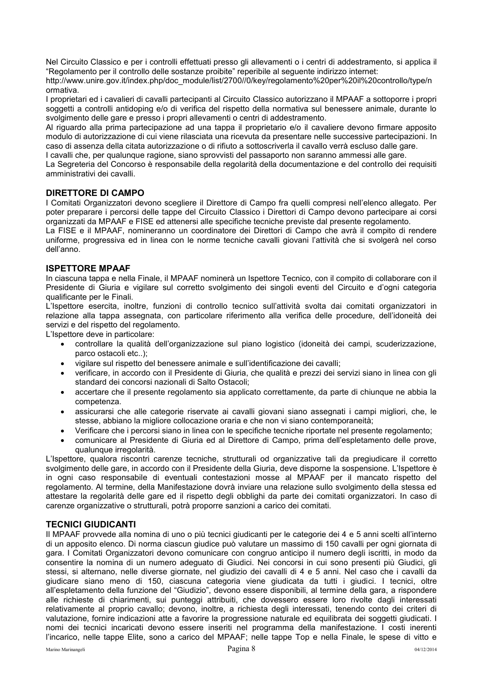Nel Circuito Classico e per i controlli effettuati presso gli allevamenti o i centri di addestramento, si applica il "Regolamento per il controllo delle sostanze proibite" reperibile al seguente indirizzo internet:

http://www.unire.gov.it/index.php/doc\_module/list/2700//0/key/regolamento%20per%20il%20controllo/type/n ormativa.

I proprietari ed i cavalieri di cavalli partecipanti al Circuito Classico autorizzano il MPAAF a sottoporre i propri soggetti a controlli antidoping e/o di verifica del rispetto della normativa sul benessere animale, durante lo svolgimento delle gare e presso i propri allevamenti o centri di addestramento.

Al riguardo alla prima partecipazione ad una tappa il proprietario e/o il cavaliere devono firmare apposito modulo di autorizzazione di cui viene rilasciata una ricevuta da presentare nelle successive partecipazioni. In caso di assenza della citata autorizzazione o di rifiuto a sottoscriverla il cavallo verrà escluso dalle gare.

I cavalli che, per qualunque ragione, siano sprovvisti del passaporto non saranno ammessi alle gare.

La Segreteria del Concorso è responsabile della regolarità della documentazione e del controllo dei requisiti amministrativi dei cavalli.

### <span id="page-8-0"></span>**DIRETTORE DI CAMPO**

I Comitati Organizzatori devono scegliere il Direttore di Campo fra quelli compresi nell'elenco allegato. Per poter preparare i percorsi delle tappe del Circuito Classico i Direttori di Campo devono partecipare ai corsi organizzati da MPAAF e FISE ed attenersi alle specifiche tecniche previste dal presente regolamento.

La FISE e il MPAAF, nomineranno un coordinatore dei Direttori di Campo che avrà il compito di rendere uniforme, progressiva ed in linea con le norme tecniche cavalli giovani l'attività che si svolgerà nel corso dell'anno.

#### <span id="page-8-1"></span>**ISPETTORE MPAAF**

In ciascuna tappa e nella Finale, il MPAAF nominerà un Ispettore Tecnico, con il compito di collaborare con il Presidente di Giuria e vigilare sul corretto svolgimento dei singoli eventi del Circuito e d'ogni categoria qualificante per le Finali.

L'Ispettore esercita, inoltre, funzioni di controllo tecnico sull'attività svolta dai comitati organizzatori in relazione alla tappa assegnata, con particolare riferimento alla verifica delle procedure, dell'idoneità dei servizi e del rispetto del regolamento.

L'Ispettore deve in particolare:

- controllare la qualità dell'organizzazione sul piano logistico (idoneità dei campi, scuderizzazione, parco ostacoli etc..);
- vigilare sul rispetto del benessere animale e sull'identificazione dei cavalli;
- verificare, in accordo con il Presidente di Giuria, che qualità e prezzi dei servizi siano in linea con gli standard dei concorsi nazionali di Salto Ostacoli;
- accertare che il presente regolamento sia applicato correttamente, da parte di chiunque ne abbia la competenza.
- assicurarsi che alle categorie riservate ai cavalli giovani siano assegnati i campi migliori, che, le stesse, abbiano la migliore collocazione oraria e che non vi siano contemporaneità;
- Verificare che i percorsi siano in linea con le specifiche tecniche riportate nel presente regolamento;
- comunicare al Presidente di Giuria ed al Direttore di Campo, prima dell'espletamento delle prove, qualunque irregolarità.

L'Ispettore, qualora riscontri carenze tecniche, strutturali od organizzative tali da pregiudicare il corretto svolgimento delle gare, in accordo con il Presidente della Giuria, deve disporne la sospensione. L'Ispettore è in ogni caso responsabile di eventuali contestazioni mosse al MPAAF per il mancato rispetto del regolamento. Al termine, della Manifestazione dovrà inviare una relazione sullo svolgimento della stessa ed attestare la regolarità delle gare ed il rispetto degli obblighi da parte dei comitati organizzatori. In caso di carenze organizzative o strutturali, potrà proporre sanzioni a carico dei comitati.

#### <span id="page-8-2"></span>**TECNICI GIUDICANTI**

Il MPAAF provvede alla nomina di uno o più tecnici giudicanti per le categorie dei 4 e 5 anni scelti all'interno di un apposito elenco. Di norma ciascun giudice può valutare un massimo di 150 cavalli per ogni giornata di gara. I Comitati Organizzatori devono comunicare con congruo anticipo il numero degli iscritti, in modo da consentire la nomina di un numero adeguato di Giudici. Nei concorsi in cui sono presenti più Giudici, gli stessi, si alternano, nelle diverse giornate, nel giudizio dei cavalli di 4 e 5 anni. Nel caso che i cavalli da giudicare siano meno di 150, ciascuna categoria viene giudicata da tutti i giudici. I tecnici, oltre all'espletamento della funzione del "Giudizio", devono essere disponibili, al termine della gara, a rispondere alle richieste di chiarimenti, sui punteggi attribuiti, che dovessero essere loro rivolte dagli interessati relativamente al proprio cavallo; devono, inoltre, a richiesta degli interessati, tenendo conto dei criteri di valutazione, fornire indicazioni atte a favorire la progressione naturale ed equilibrata dei soggetti giudicati. I nomi dei tecnici incaricati devono essere inseriti nel programma della manifestazione. I costi inerenti l'incarico, nelle tappe Elite, sono a carico del MPAAF; nelle tappe Top e nella Finale, le spese di vitto e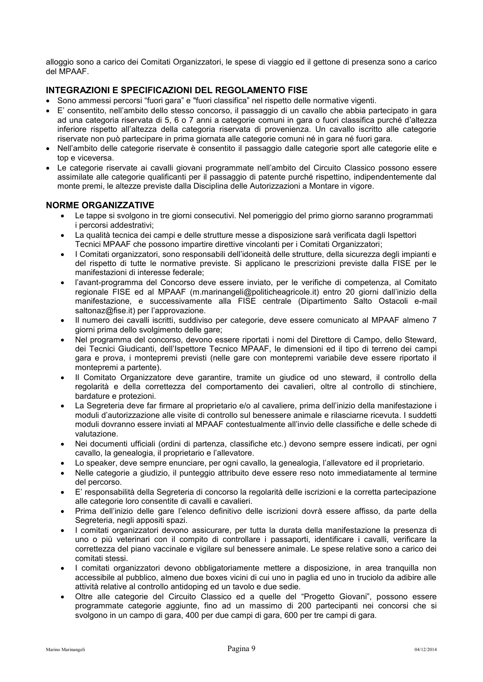alloggio sono a carico dei Comitati Organizzatori, le spese di viaggio ed il gettone di presenza sono a carico del MPAAF.

#### <span id="page-9-0"></span>**INTEGRAZIONI E SPECIFICAZIONI DEL REGOLAMENTO FISE**

- Sono ammessi percorsi "fuori gara" e "fuori classifica" nel rispetto delle normative vigenti.
- E' consentito, nell'ambito dello stesso concorso, il passaggio di un cavallo che abbia partecipato in gara ad una categoria riservata di 5, 6 o 7 anni a categorie comuni in gara o fuori classifica purché d'altezza inferiore rispetto all'altezza della categoria riservata di provenienza. Un cavallo iscritto alle categorie riservate non può partecipare in prima giornata alle categorie comuni né in gara né fuori gara.
- Nell'ambito delle categorie riservate è consentito il passaggio dalle categorie sport alle categorie elite e top e viceversa.
- Le categorie riservate ai cavalli giovani programmate nell'ambito del Circuito Classico possono essere assimilate alle categorie qualificanti per il passaggio di patente purché rispettino, indipendentemente dal monte premi, le altezze previste dalla Disciplina delle Autorizzazioni a Montare in vigore.

#### <span id="page-9-1"></span>**NORME ORGANIZZATIVE**

- Le tappe si svolgono in tre giorni consecutivi. Nel pomeriggio del primo giorno saranno programmati i percorsi addestrativi;
- La qualità tecnica dei campi e delle strutture messe a disposizione sarà verificata dagli Ispettori Tecnici MPAAF che possono impartire direttive vincolanti per i Comitati Organizzatori;
- I Comitati organizzatori, sono responsabili dell'idoneità delle strutture, della sicurezza degli impianti e del rispetto di tutte le normative previste. Si applicano le prescrizioni previste dalla FISE per le manifestazioni di interesse federale;
- l'avant-programma del Concorso deve essere inviato, per le verifiche di competenza, al Comitato regionale FISE ed al MPAAF (m.marinangeli@politicheagricole.it) entro 20 giorni dall'inizio della manifestazione, e successivamente alla FISE centrale (Dipartimento Salto Ostacoli e-mail [saltonaz@fise.it\)](mailto:saltonaz@fise.it) per l'approvazione.
- Il numero dei cavalli iscritti, suddiviso per categorie, deve essere comunicato al MPAAF almeno 7 giorni prima dello svolgimento delle gare;
- Nel programma del concorso, devono essere riportati i nomi del Direttore di Campo, dello Steward, dei Tecnici Giudicanti, dell'Ispettore Tecnico MPAAF, le dimensioni ed il tipo di terreno dei campi gara e prova, i montepremi previsti (nelle gare con montepremi variabile deve essere riportato il montepremi a partente).
- Il Comitato Organizzatore deve garantire, tramite un giudice od uno steward, il controllo della regolarità e della correttezza del comportamento dei cavalieri, oltre al controllo di stinchiere, bardature e protezioni.
- La Segreteria deve far firmare al proprietario e/o al cavaliere, prima dell'inizio della manifestazione i moduli d'autorizzazione alle visite di controllo sul benessere animale e rilasciarne ricevuta. I suddetti moduli dovranno essere inviati al MPAAF contestualmente all'invio delle classifiche e delle schede di valutazione.
- Nei documenti ufficiali (ordini di partenza, classifiche etc.) devono sempre essere indicati, per ogni cavallo, la genealogia, il proprietario e l'allevatore.
- Lo speaker, deve sempre enunciare, per ogni cavallo, la genealogia, l'allevatore ed il proprietario.
- Nelle categorie a giudizio, il punteggio attribuito deve essere reso noto immediatamente al termine del percorso.
- E' responsabilità della Segreteria di concorso la regolarità delle iscrizioni e la corretta partecipazione alle categorie loro consentite di cavalli e cavalieri.
- Prima dell'inizio delle gare l'elenco definitivo delle iscrizioni dovrà essere affisso, da parte della Segreteria, negli appositi spazi.
- I comitati organizzatori devono assicurare, per tutta la durata della manifestazione la presenza di uno o più veterinari con il compito di controllare i passaporti, identificare i cavalli, verificare la correttezza del piano vaccinale e vigilare sul benessere animale. Le spese relative sono a carico dei comitati stessi.
- I comitati organizzatori devono obbligatoriamente mettere a disposizione, in area tranquilla non accessibile al pubblico, almeno due boxes vicini di cui uno in paglia ed uno in truciolo da adibire alle attività relative al controllo antidoping ed un tavolo e due sedie.
- Oltre alle categorie del Circuito Classico ed a quelle del "Progetto Giovani", possono essere programmate categorie aggiunte, fino ad un massimo di 200 partecipanti nei concorsi che si svolgono in un campo di gara, 400 per due campi di gara, 600 per tre campi di gara.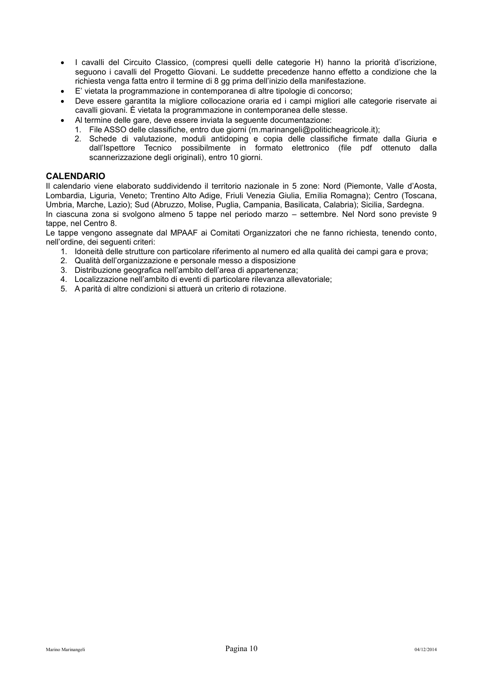- I cavalli del Circuito Classico, (compresi quelli delle categorie H) hanno la priorità d'iscrizione, seguono i cavalli del Progetto Giovani. Le suddette precedenze hanno effetto a condizione che la richiesta venga fatta entro il termine di 8 gg prima dell'inizio della manifestazione.
- E' vietata la programmazione in contemporanea di altre tipologie di concorso;
- Deve essere garantita la migliore collocazione oraria ed i campi migliori alle categorie riservate ai cavalli giovani. È vietata la programmazione in contemporanea delle stesse.
- Al termine delle gare, deve essere inviata la seguente documentazione:
	- 1. File ASSO delle classifiche, entro due giorni (m.marinangeli@politicheagricole.it);
	- 2. Schede di valutazione, moduli antidoping e copia delle classifiche firmate dalla Giuria e dall'Ispettore Tecnico possibilmente in formato elettronico (file pdf ottenuto dalla scannerizzazione degli originali), entro 10 giorni.

#### <span id="page-10-0"></span>**CALENDARIO**

Il calendario viene elaborato suddividendo il territorio nazionale in 5 zone: Nord (Piemonte, Valle d'Aosta, Lombardia, Liguria, Veneto; Trentino Alto Adige, Friuli Venezia Giulia, Emilia Romagna); Centro (Toscana, Umbria, Marche, Lazio); Sud (Abruzzo, Molise, Puglia, Campania, Basilicata, Calabria); Sicilia, Sardegna. In ciascuna zona si svolgono almeno 5 tappe nel periodo marzo – settembre. Nel Nord sono previste 9 tappe, nel Centro 8.

Le tappe vengono assegnate dal MPAAF ai Comitati Organizzatori che ne fanno richiesta, tenendo conto, nell'ordine, dei seguenti criteri:

- 1. Idoneità delle strutture con particolare riferimento al numero ed alla qualità dei campi gara e prova;
- 2. Qualità dell'organizzazione e personale messo a disposizione
- 3. Distribuzione geografica nell'ambito dell'area di appartenenza;
- 4. Localizzazione nell'ambito di eventi di particolare rilevanza allevatoriale;
- 5. A parità di altre condizioni si attuerà un criterio di rotazione.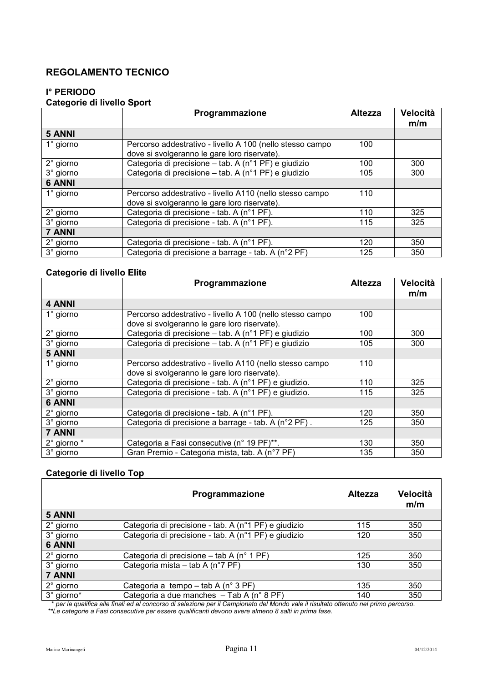## <span id="page-11-0"></span>**REGOLAMENTO TECNICO**

## <span id="page-11-1"></span>**I° PERIODO**

## **Categorie di livello Sport**

|                    | Programmazione                                            | <b>Altezza</b> | Velocità<br>m/m |
|--------------------|-----------------------------------------------------------|----------------|-----------------|
| 5 ANNI             |                                                           |                |                 |
| $1^\circ$ giorno   | Percorso addestrativo - livello A 100 (nello stesso campo | 100            |                 |
|                    | dove si svolgeranno le gare loro riservate).              |                |                 |
| $2^{\circ}$ giorno | Categoria di precisione – tab. A (n°1 PF) e giudizio      | 100            | 300             |
| 3° giorno          | Categoria di precisione – tab. A (n°1 PF) e giudizio      | 105            | 300             |
| <b>6 ANNI</b>      |                                                           |                |                 |
| $1^\circ$ giorno   | Percorso addestrativo - livello A110 (nello stesso campo  | 110            |                 |
|                    | dove si svolgeranno le gare loro riservate).              |                |                 |
| $2^{\circ}$ giorno | Categoria di precisione - tab. A (n°1 PF).                | 110            | 325             |
| 3° giorno          | Categoria di precisione - tab. A (n°1 PF).                | 115            | 325             |
| 7 ANNI             |                                                           |                |                 |
| $2^{\circ}$ giorno | Categoria di precisione - tab. A (n°1 PF).                | 120            | 350             |
| 3° giorno          | Categoria di precisione a barrage - tab. A (n°2 PF)       | 125            | 350             |

## **Categorie di livello Elite**

|                    | Programmazione                                            | <b>Altezza</b> | Velocità<br>m/m |
|--------------------|-----------------------------------------------------------|----------------|-----------------|
| 4 ANNI             |                                                           |                |                 |
| $1^\circ$ giorno   | Percorso addestrativo - livello A 100 (nello stesso campo | 100            |                 |
|                    | dove si svolgeranno le gare loro riservate).              |                |                 |
| 2° giorno          | Categoria di precisione – tab. A (n°1 PF) e giudizio      | 100            | 300             |
| 3° giorno          | Categoria di precisione – tab. A (n°1 PF) e giudizio      | 105            | 300             |
| 5 ANNI             |                                                           |                |                 |
| $1^\circ$ giorno   | Percorso addestrativo - livello A110 (nello stesso campo  | 110            |                 |
|                    | dove si svolgeranno le gare loro riservate).              |                |                 |
| 2° giorno          | Categoria di precisione - tab. A (n°1 PF) e giudizio.     | 110            | 325             |
| 3° giorno          | Categoria di precisione - tab. A (n°1 PF) e giudizio.     | 115            | 325             |
| <b>6 ANNI</b>      |                                                           |                |                 |
| $2^{\circ}$ giorno | Categoria di precisione - tab. A (n°1 PF).                | 120            | 350             |
| 3° giorno          | Categoria di precisione a barrage - tab. A (n°2 PF).      | 125            | 350             |
| <b>7 ANNI</b>      |                                                           |                |                 |
| 2° giorno *        | Categoria a Fasi consecutive (n° 19 PF)**.                | 130            | 350             |
| 3° giorno          | Gran Premio - Categoria mista, tab. A (n°7 PF)            | 135            | 350             |

## **Categorie di livello Top**

|                    | Programmazione                                       | <b>Altezza</b> | Velocità<br>m/m |
|--------------------|------------------------------------------------------|----------------|-----------------|
|                    |                                                      |                |                 |
| <b>5 ANNI</b>      |                                                      |                |                 |
| $2^{\circ}$ giorno | Categoria di precisione - tab. A (n°1 PF) e giudizio | 115            | 350             |
| 3° giorno          | Categoria di precisione - tab. A (n°1 PF) e giudizio | 120            | 350             |
| <b>6 ANNI</b>      |                                                      |                |                 |
| 2° giorno          | Categoria di precisione – tab A (n° 1 PF)            | 125            | 350             |
| 3° giorno          | Categoria mista – tab A (n°7 PF)                     | 130            | 350             |
| 7 ANNI             |                                                      |                |                 |
| $2^{\circ}$ giorno | Categoria a tempo – tab A (n° 3 PF)                  | 135            | 350             |
| 3° giorno*         | Categoria a due manches - Tab A (n° 8 PF)            | 140            | 350             |

\* *per la qualifica alle finali ed al concorso di selezione per il Campionato del Mondo vale il risultato ottenuto nel primo percorso.* 

 *\*\*Le categorie a Fasi consecutive per essere qualificanti devono avere almeno 8 salti in prima fase.*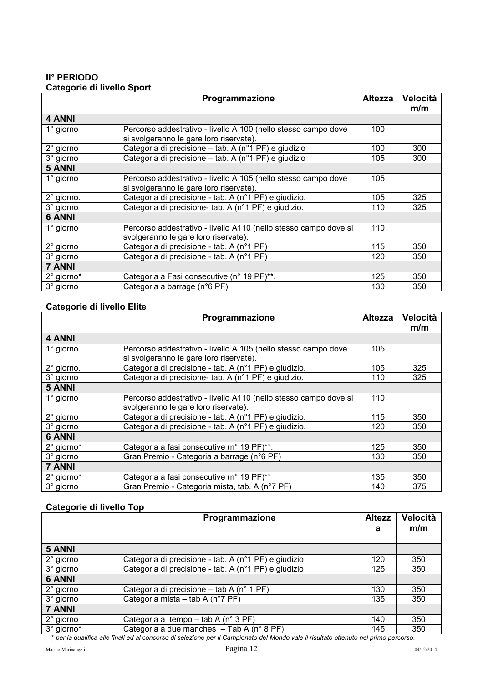## <span id="page-12-0"></span>**II° PERIODO Categorie di livello Sport**

|                  | Programmazione                                                                                            | <b>Altezza</b> | Velocità<br>m/m |
|------------------|-----------------------------------------------------------------------------------------------------------|----------------|-----------------|
| 4 ANNI           |                                                                                                           |                |                 |
| $1^\circ$ giorno | Percorso addestrativo - livello A 100 (nello stesso campo dove<br>si svolgeranno le gare loro riservate). | 100            |                 |
| 2° giorno        | Categoria di precisione – tab. A (n°1 PF) e giudizio                                                      | 100            | 300             |
| 3° giorno        | Categoria di precisione – tab. A (n°1 PF) e giudizio                                                      | 105            | 300             |
| <b>5 ANNI</b>    |                                                                                                           |                |                 |
| 1° giorno        | Percorso addestrativo - livello A 105 (nello stesso campo dove<br>si svolgeranno le gare loro riservate). | 105            |                 |
| 2° giorno.       | Categoria di precisione - tab. A (n°1 PF) e giudizio.                                                     | 105            | 325             |
| 3° giorno        | Categoria di precisione- tab. A (n°1 PF) e giudizio.                                                      | 110            | 325             |
| <b>6 ANNI</b>    |                                                                                                           |                |                 |
| 1° giorno        | Percorso addestrativo - livello A110 (nello stesso campo dove si<br>svolgeranno le gare loro riservate).  | 110            |                 |
| 2° giorno        | Categoria di precisione - tab. A (n°1 PF)                                                                 | 115            | 350             |
| 3° giorno        | Categoria di precisione - tab. A (n°1 PF)                                                                 | 120            | 350             |
| 7 ANNI           |                                                                                                           |                |                 |
| 2° giorno*       | Categoria a Fasi consecutive (n° 19 PF)**.                                                                | 125            | 350             |
| 3° giorno        | Categoria a barrage (n°6 PF)                                                                              | 130            | 350             |

## **Categorie di livello Elite**

|                  | Programmazione                                                   | <b>Altezza</b> | Velocità |
|------------------|------------------------------------------------------------------|----------------|----------|
|                  |                                                                  |                | m/m      |
| 4 ANNI           |                                                                  |                |          |
| $1^\circ$ giorno | Percorso addestrativo - livello A 105 (nello stesso campo dove   | 105            |          |
|                  | si svolgeranno le gare loro riservate).                          |                |          |
| 2° giorno.       | Categoria di precisione - tab. A (n°1 PF) e giudizio.            | 105            | 325      |
| 3° giorno        | Categoria di precisione- tab. A (n°1 PF) e giudizio.             | 110            | 325      |
| <b>5 ANNI</b>    |                                                                  |                |          |
| $1^\circ$ giorno | Percorso addestrativo - livello A110 (nello stesso campo dove si | 110            |          |
|                  | svolgeranno le gare loro riservate).                             |                |          |
| 2° giorno        | Categoria di precisione - tab. A (n°1 PF) e giudizio.            | 115            | 350      |
| 3° giorno        | Categoria di precisione - tab. A (n°1 PF) e giudizio.            | 120            | 350      |
| <b>6 ANNI</b>    |                                                                  |                |          |
| 2° giorno*       | Categoria a fasi consecutive (n° 19 PF)**.                       | 125            | 350      |
| 3° giorno        | Gran Premio - Categoria a barrage (n°6 PF)                       | 130            | 350      |
| 7 ANNI           |                                                                  |                |          |
| 2° giorno*       | Categoria a fasi consecutive (n° 19 PF)**                        | 135            | 350      |
| 3° giorno        | Gran Premio - Categoria mista, tab. A (n°7 PF)                   | 140            | 375      |

## **Categorie di livello Top**

| m/m                                                                                                                                  |
|--------------------------------------------------------------------------------------------------------------------------------------|
|                                                                                                                                      |
| 350                                                                                                                                  |
| 350                                                                                                                                  |
|                                                                                                                                      |
| 350                                                                                                                                  |
| 350                                                                                                                                  |
|                                                                                                                                      |
| 350                                                                                                                                  |
| 350                                                                                                                                  |
| * par la qualifica alla finali ed al conocreo di solozione per il Compionato del Mando velo il riquitoto ettenuto nel primo persorso |

\* *per la qualifica alle finali ed al concorso di selezione per il Campionato del Mondo vale il risultato ottenuto nel primo percorso.*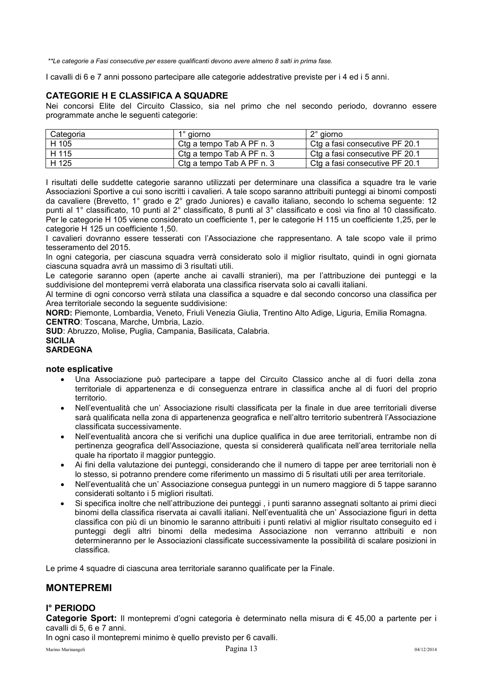*\*\*Le categorie a Fasi consecutive per essere qualificanti devono avere almeno 8 salti in prima fase.* 

I cavalli di 6 e 7 anni possono partecipare alle categorie addestrative previste per i 4 ed i 5 anni.

## <span id="page-13-0"></span>**CATEGORIE H E CLASSIFICA A SQUADRE**

Nei concorsi Elite del Circuito Classico, sia nel primo che nel secondo periodo, dovranno essere programmate anche le seguenti categorie:

| Categoria          | 1° giorno                 | 2° giorno                      |
|--------------------|---------------------------|--------------------------------|
| H 105              | Ctg a tempo Tab A PF n. 3 | Ctg a fasi consecutive PF 20.1 |
| <sup>1</sup> H 115 | Ctg a tempo Tab A PF n. 3 | Ctg a fasi consecutive PF 20.1 |
| H 125              | Ctg a tempo Tab A PF n. 3 | Ctg a fasi consecutive PF 20.1 |

I risultati delle suddette categorie saranno utilizzati per determinare una classifica a squadre tra le varie Associazioni Sportive a cui sono iscritti i cavalieri. A tale scopo saranno attribuiti punteggi ai binomi composti da cavaliere (Brevetto, 1° grado e 2° grado Juniores) e cavallo italiano, secondo lo schema seguente: 12 punti al 1° classificato, 10 punti al 2° classificato, 8 punti al 3° classificato e così via fino al 10 classificato. Per le categorie H 105 viene considerato un coefficiente 1, per le categorie H 115 un coefficiente 1,25, per le categorie H 125 un coefficiente 1,50.

I cavalieri dovranno essere tesserati con l'Associazione che rappresentano. A tale scopo vale il primo tesseramento del 2015.

In ogni categoria, per ciascuna squadra verrà considerato solo il miglior risultato, quindi in ogni giornata ciascuna squadra avrà un massimo di 3 risultati utili.

Le categorie saranno open (aperte anche ai cavalli stranieri), ma per l'attribuzione dei punteggi e la suddivisione del montepremi verrà elaborata una classifica riservata solo ai cavalli italiani.

Al termine di ogni concorso verrà stilata una classifica a squadre e dal secondo concorso una classifica per Area territoriale secondo la seguente suddivisione:

**NORD:** Piemonte, Lombardia, Veneto, Friuli Venezia Giulia, Trentino Alto Adige, Liguria, Emilia Romagna. **CENTRO**: Toscana, Marche, Umbria, Lazio.

**SUD**: Abruzzo, Molise, Puglia, Campania, Basilicata, Calabria.

#### **SICILIA SARDEGNA**

#### **note esplicative**

- Una Associazione può partecipare a tappe del Circuito Classico anche al di fuori della zona territoriale di appartenenza e di conseguenza entrare in classifica anche al di fuori del proprio territorio.
- Nell'eventualità che un' Associazione risulti classificata per la finale in due aree territoriali diverse sarà qualificata nella zona di appartenenza geografica e nell'altro territorio subentrerà l'Associazione classificata successivamente.
- Nell'eventualità ancora che si verifichi una duplice qualifica in due aree territoriali, entrambe non di pertinenza geografica dell'Associazione, questa si considererà qualificata nell'area territoriale nella quale ha riportato il maggior punteggio.
- Ai fini della valutazione dei punteggi, considerando che il numero di tappe per aree territoriali non è lo stesso, si potranno prendere come riferimento un massimo di 5 risultati utili per area territoriale.
- Nell'eventualità che un' Associazione consegua punteggi in un numero maggiore di 5 tappe saranno considerati soltanto i 5 migliori risultati.
- Si specifica inoltre che nell'attribuzione dei punteggi , i punti saranno assegnati soltanto ai primi dieci binomi della classifica riservata ai cavalli italiani. Nell'eventualità che un' Associazione figuri in detta classifica con più di un binomio le saranno attribuiti i punti relativi al miglior risultato conseguito ed i punteggi degli altri binomi della medesima Associazione non verranno attribuiti e non determineranno per le Associazioni classificate successivamente la possibilità di scalare posizioni in classifica.

Le prime 4 squadre di ciascuna area territoriale saranno qualificate per la Finale.

## <span id="page-13-1"></span>**MONTEPREMI**

## <span id="page-13-2"></span>**I° PERIODO**

**Categorie Sport:** Il montepremi d'ogni categoria è determinato nella misura di € 45,00 a partente per i cavalli di 5, 6 e 7 anni.

In ogni caso il montepremi minimo è quello previsto per 6 cavalli.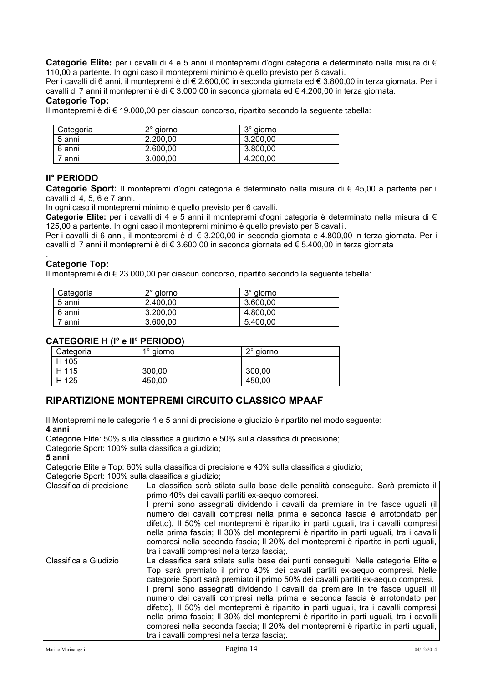**Categorie Elite:** per i cavalli di 4 e 5 anni il montepremi d'ogni categoria è determinato nella misura di € 110,00 a partente. In ogni caso il montepremi minimo è quello previsto per 6 cavalli.

Per i cavalli di 6 anni, il montepremi è di € 2.600,00 in seconda giornata ed € 3.800,00 in terza giornata. Per i cavalli di 7 anni il montepremi è di € 3.000,00 in seconda giornata ed € 4.200,00 in terza giornata.

### **Categorie Top:**

Il montepremi è di € 19.000,00 per ciascun concorso, ripartito secondo la seguente tabella:

| Categoria | $2^\circ$ giorno | $3^\circ$ giorno |
|-----------|------------------|------------------|
| 5 anni    | 2.200.00         | 3.200.00         |
| 6 anni    | 2.600.00         | 3.800,00         |
| anni      | 3.000,00         | 4.200.00         |

### <span id="page-14-0"></span>**II° PERIODO**

**Categorie Sport:** Il montepremi d'ogni categoria è determinato nella misura di € 45,00 a partente per i cavalli di 4, 5, 6 e 7 anni.

In ogni caso il montepremi minimo è quello previsto per 6 cavalli.

**Categorie Elite:** per i cavalli di 4 e 5 anni il montepremi d'ogni categoria è determinato nella misura di € 125,00 a partente. In ogni caso il montepremi minimo è quello previsto per 6 cavalli.

Per i cavalli di 6 anni, il montepremi è di € 3.200,00 in seconda giornata e 4.800,00 in terza giornata. Per i cavalli di 7 anni il montepremi è di € 3.600,00 in seconda giornata ed € 5.400,00 in terza giornata

#### . **Categorie Top:**

Il montepremi è di € 23.000,00 per ciascun concorso, ripartito secondo la seguente tabella:

| Categoria | $2^\circ$ giorno | 3° giorno |
|-----------|------------------|-----------|
| 5 anni    | 2.400.00         | 3.600.00  |
| 6 anni    | 3.200.00         | 4.800.00  |
| anni      | 3.600.00         | 5.400.00  |

## <span id="page-14-1"></span>**CATEGORIE H (I° e II° PERIODO)**

| Categoria | $1^\circ$ giorno | $2^{\circ}$ giorno |
|-----------|------------------|--------------------|
| H 105     |                  |                    |
| H 115     | 300.00           | 300,00             |
| H 125     | 450.00           | 450.00             |

## <span id="page-14-2"></span>**RIPARTIZIONE MONTEPREMI CIRCUITO CLASSICO MPAAF**

Il Montepremi nelle categorie 4 e 5 anni di precisione e giudizio è ripartito nel modo seguente: **4 anni** 

Categorie Elite: 50% sulla classifica a giudizio e 50% sulla classifica di precisione;

Categorie Sport: 100% sulla classifica a giudizio;

#### **5 anni**

Categorie Elite e Top: 60% sulla classifica di precisione e 40% sulla classifica a giudizio; Categorie Sport: 100% sulla classifica a giudizio;

| Classifica di precisione | La classifica sarà stilata sulla base delle penalità conseguite. Sarà premiato il<br>primo 40% dei cavalli partiti ex-aequo compresi.                              |
|--------------------------|--------------------------------------------------------------------------------------------------------------------------------------------------------------------|
|                          | I premi sono assegnati dividendo i cavalli da premiare in tre fasce uguali (il                                                                                     |
|                          | numero dei cavalli compresi nella prima e seconda fascia è arrotondato per<br>difetto), Il 50% del montepremi è ripartito in parti uguali, tra i cavalli compresi  |
|                          | nella prima fascia; Il 30% del montepremi è ripartito in parti uguali, tra i cavalli                                                                               |
|                          | compresi nella seconda fascia; Il 20% del montepremi è ripartito in parti uguali,<br>tra i cavalli compresi nella terza fascia;                                    |
|                          |                                                                                                                                                                    |
| Classifica a Giudizio    | La classifica sarà stilata sulla base dei punti conseguiti. Nelle categorie Elite e<br>Top sarà premiato il primo 40% dei cavalli partiti ex-aequo compresi. Nelle |
|                          | categorie Sport sarà premiato il primo 50% dei cavalli partiti ex-aequo compresi.                                                                                  |
|                          | I premi sono assegnati dividendo i cavalli da premiare in tre fasce uguali (il                                                                                     |
|                          | numero dei cavalli compresi nella prima e seconda fascia è arrotondato per                                                                                         |
|                          | difetto), Il 50% del montepremi è ripartito in parti uguali, tra i cavalli compresi                                                                                |
|                          | nella prima fascia; Il 30% del montepremi è ripartito in parti uguali, tra i cavalli                                                                               |
|                          | compresi nella seconda fascia; Il 20% del montepremi è ripartito in parti uguali,                                                                                  |
|                          | tra i cavalli compresi nella terza fascia;.                                                                                                                        |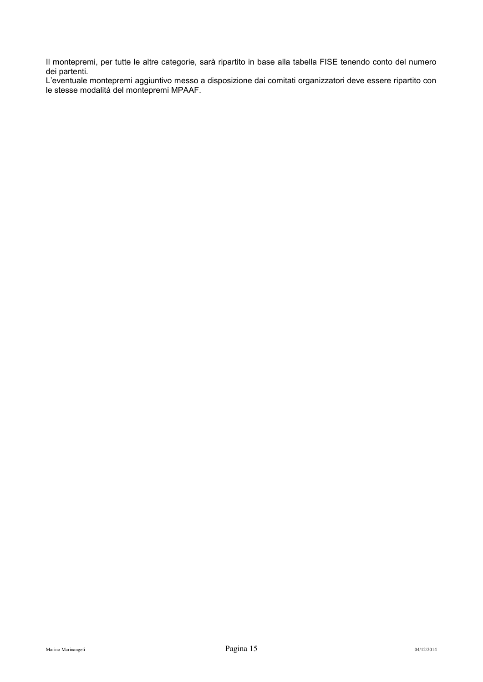Il montepremi, per tutte le altre categorie, sarà ripartito in base alla tabella FISE tenendo conto del numero dei partenti.

L'eventuale montepremi aggiuntivo messo a disposizione dai comitati organizzatori deve essere ripartito con le stesse modalità del montepremi MPAAF.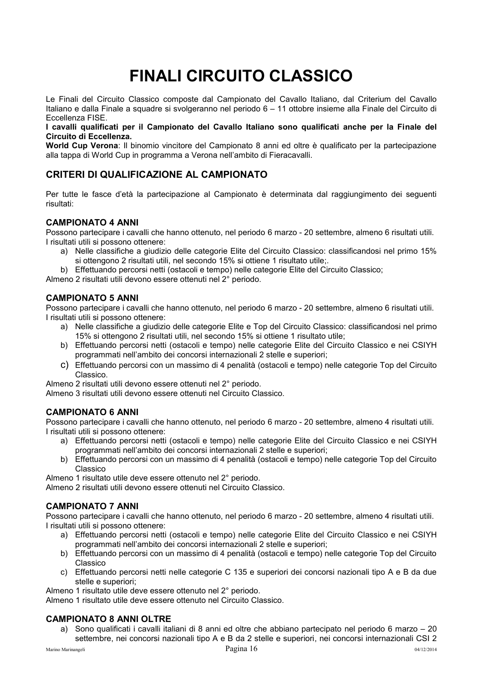## **FINALI CIRCUITO CLASSICO**

<span id="page-16-0"></span>Le Finali del Circuito Classico composte dal Campionato del Cavallo Italiano, dal Criterium del Cavallo Italiano e dalla Finale a squadre si svolgeranno nel periodo 6 – 11 ottobre insieme alla Finale del Circuito di Eccellenza FISE.

**I cavalli qualificati per il Campionato del Cavallo Italiano sono qualificati anche per la Finale del Circuito di Eccellenza.** 

**World Cup Verona**: Il binomio vincitore del Campionato 8 anni ed oltre è qualificato per la partecipazione alla tappa di World Cup in programma a Verona nell'ambito di Fieracavalli.

## <span id="page-16-1"></span>**CRITERI DI QUALIFICAZIONE AL CAMPIONATO**

Per tutte le fasce d'età la partecipazione al Campionato è determinata dal raggiungimento dei seguenti risultati:

### <span id="page-16-2"></span>**CAMPIONATO 4 ANNI**

Possono partecipare i cavalli che hanno ottenuto, nel periodo 6 marzo - 20 settembre, almeno 6 risultati utili. I risultati utili si possono ottenere:

a) Nelle classifiche a giudizio delle categorie Elite del Circuito Classico: classificandosi nel primo 15% si ottengono 2 risultati utili, nel secondo 15% si ottiene 1 risultato utile;.

b) Effettuando percorsi netti (ostacoli e tempo) nelle categorie Elite del Circuito Classico;

Almeno 2 risultati utili devono essere ottenuti nel 2° periodo.

#### <span id="page-16-3"></span>**CAMPIONATO 5 ANNI**

Possono partecipare i cavalli che hanno ottenuto, nel periodo 6 marzo - 20 settembre, almeno 6 risultati utili. I risultati utili si possono ottenere:

- a) Nelle classifiche a giudizio delle categorie Elite e Top del Circuito Classico: classificandosi nel primo 15% si ottengono 2 risultati utili, nel secondo 15% si ottiene 1 risultato utile;
- b) Effettuando percorsi netti (ostacoli e tempo) nelle categorie Elite del Circuito Classico e nei CSIYH programmati nell'ambito dei concorsi internazionali 2 stelle e superiori;
- c) Effettuando percorsi con un massimo di 4 penalità (ostacoli e tempo) nelle categorie Top del Circuito Classico.

Almeno 2 risultati utili devono essere ottenuti nel 2° periodo.

Almeno 3 risultati utili devono essere ottenuti nel Circuito Classico.

#### <span id="page-16-4"></span>**CAMPIONATO 6 ANNI**

Possono partecipare i cavalli che hanno ottenuto, nel periodo 6 marzo - 20 settembre, almeno 4 risultati utili. I risultati utili si possono ottenere:

- a) Effettuando percorsi netti (ostacoli e tempo) nelle categorie Elite del Circuito Classico e nei CSIYH programmati nell'ambito dei concorsi internazionali 2 stelle e superiori;
- b) Effettuando percorsi con un massimo di 4 penalità (ostacoli e tempo) nelle categorie Top del Circuito Classico

Almeno 1 risultato utile deve essere ottenuto nel 2° periodo.

Almeno 2 risultati utili devono essere ottenuti nel Circuito Classico.

#### <span id="page-16-5"></span>**CAMPIONATO 7 ANNI**

Possono partecipare i cavalli che hanno ottenuto, nel periodo 6 marzo - 20 settembre, almeno 4 risultati utili. I risultati utili si possono ottenere:

- a) Effettuando percorsi netti (ostacoli e tempo) nelle categorie Elite del Circuito Classico e nei CSIYH programmati nell'ambito dei concorsi internazionali 2 stelle e superiori;
- b) Effettuando percorsi con un massimo di 4 penalità (ostacoli e tempo) nelle categorie Top del Circuito Classico
- c) Effettuando percorsi netti nelle categorie C 135 e superiori dei concorsi nazionali tipo A e B da due stelle e superiori;

Almeno 1 risultato utile deve essere ottenuto nel 2° periodo.

Almeno 1 risultato utile deve essere ottenuto nel Circuito Classico.

#### <span id="page-16-6"></span>**CAMPIONATO 8 ANNI OLTRE**

a) Sono qualificati i cavalli italiani di 8 anni ed oltre che abbiano partecipato nel periodo 6 marzo – 20 settembre, nei concorsi nazionali tipo A e B da 2 stelle e superiori, nei concorsi internazionali CSI 2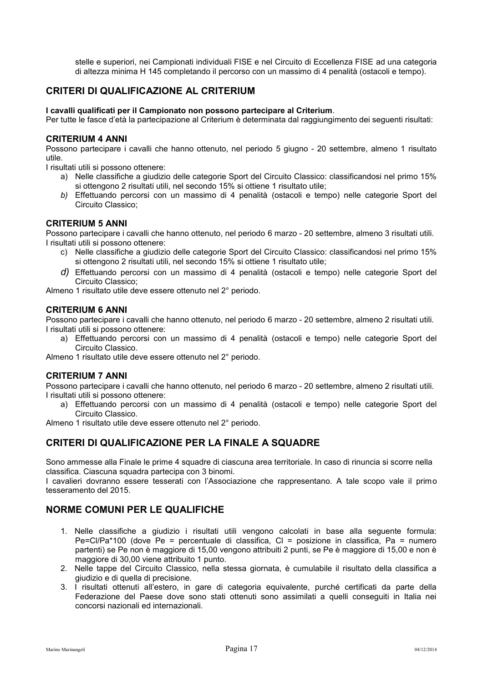stelle e superiori, nei Campionati individuali FISE e nel Circuito di Eccellenza FISE ad una categoria di altezza minima H 145 completando il percorso con un massimo di 4 penalità (ostacoli e tempo).

## <span id="page-17-0"></span>**CRITERI DI QUALIFICAZIONE AL CRITERIUM**

#### **I cavalli qualificati per il Campionato non possono partecipare al Criterium**.

Per tutte le fasce d'età la partecipazione al Criterium è determinata dal raggiungimento dei seguenti risultati:

#### <span id="page-17-1"></span>**CRITERIUM 4 ANNI**

Possono partecipare i cavalli che hanno ottenuto, nel periodo 5 giugno - 20 settembre, almeno 1 risultato utile.

I risultati utili si possono ottenere:

- a) Nelle classifiche a giudizio delle categorie Sport del Circuito Classico: classificandosi nel primo 15% si ottengono 2 risultati utili, nel secondo 15% si ottiene 1 risultato utile;
- *b)* Effettuando percorsi con un massimo di 4 penalità (ostacoli e tempo) nelle categorie Sport del Circuito Classico;

#### <span id="page-17-2"></span>**CRITERIUM 5 ANNI**

Possono partecipare i cavalli che hanno ottenuto, nel periodo 6 marzo - 20 settembre, almeno 3 risultati utili. I risultati utili si possono ottenere:

- c) Nelle classifiche a giudizio delle categorie Sport del Circuito Classico: classificandosi nel primo 15% si ottengono 2 risultati utili, nel secondo 15% si ottiene 1 risultato utile;
- *d)* Effettuando percorsi con un massimo di 4 penalità (ostacoli e tempo) nelle categorie Sport del Circuito Classico;

Almeno 1 risultato utile deve essere ottenuto nel 2° periodo.

#### <span id="page-17-3"></span>**CRITERIUM 6 ANNI**

Possono partecipare i cavalli che hanno ottenuto, nel periodo 6 marzo - 20 settembre, almeno 2 risultati utili. I risultati utili si possono ottenere:

a) Effettuando percorsi con un massimo di 4 penalità (ostacoli e tempo) nelle categorie Sport del Circuito Classico.

Almeno 1 risultato utile deve essere ottenuto nel 2° periodo.

#### <span id="page-17-4"></span>**CRITERIUM 7 ANNI**

Possono partecipare i cavalli che hanno ottenuto, nel periodo 6 marzo - 20 settembre, almeno 2 risultati utili. I risultati utili si possono ottenere:

a) Effettuando percorsi con un massimo di 4 penalità (ostacoli e tempo) nelle categorie Sport del Circuito Classico.

Almeno 1 risultato utile deve essere ottenuto nel 2° periodo.

## <span id="page-17-5"></span>**CRITERI DI QUALIFICAZIONE PER LA FINALE A SQUADRE**

Sono ammesse alla Finale le prime 4 squadre di ciascuna area territoriale. In caso di rinuncia si scorre nella classifica. Ciascuna squadra partecipa con 3 binomi.

I cavalieri dovranno essere tesserati con l'Associazione che rappresentano. A tale scopo vale il primo tesseramento del 2015.

## <span id="page-17-6"></span>**NORME COMUNI PER LE QUALIFICHE**

- 1. Nelle classifiche a giudizio i risultati utili vengono calcolati in base alla seguente formula: Pe=Cl/Pa\*100 (dove Pe = percentuale di classifica, Cl = posizione in classifica, Pa = numero partenti) se Pe non è maggiore di 15,00 vengono attribuiti 2 punti, se Pe è maggiore di 15,00 e non è maggiore di 30,00 viene attribuito 1 punto.
- 2. Nelle tappe del Circuito Classico, nella stessa giornata, è cumulabile il risultato della classifica a giudizio e di quella di precisione.
- 3. I risultati ottenuti all'estero, in gare di categoria equivalente, purché certificati da parte della Federazione del Paese dove sono stati ottenuti sono assimilati a quelli conseguiti in Italia nei concorsi nazionali ed internazionali.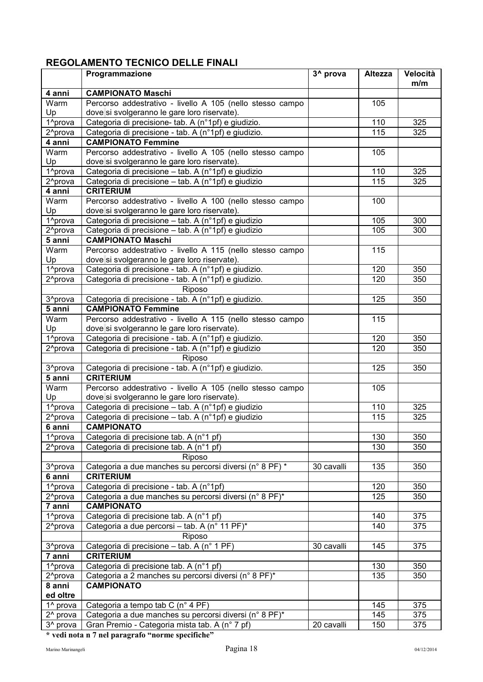## <span id="page-18-0"></span>**REGOLAMENTO TECNICO DELLE FINALI**

|                                | Programmazione                                                                                      | 3 <sup>^</sup> prova | Altezza          | Velocità   |
|--------------------------------|-----------------------------------------------------------------------------------------------------|----------------------|------------------|------------|
|                                |                                                                                                     |                      |                  | m/m        |
| 4 anni                         | <b>CAMPIONATO Maschi</b>                                                                            |                      |                  |            |
| Warm                           | Percorso addestrativo - livello A 105 (nello stesso campo                                           |                      | 105              |            |
| Up<br>1 <sup>^</sup> prova     | dove si svolgeranno le gare loro riservate).<br>Categoria di precisione- tab. A (n°1pf) e giudizio. |                      | 110              | 325        |
| 2 <sup>^</sup> prova           | Categoria di precisione - tab. A (n°1pf) e giudizio.                                                |                      | 115              | 325        |
| 4 anni                         | <b>CAMPIONATO Femmine</b>                                                                           |                      |                  |            |
| Warm                           | Percorso addestrativo - livello A 105 (nello stesso campo                                           |                      | 105              |            |
| Up                             | dove si svolgeranno le gare loro riservate).                                                        |                      |                  |            |
| 1^prova                        | Categoria di precisione - tab. A (n°1pf) e giudizio                                                 |                      | 110              | 325        |
| 2 <sup>^</sup> prova           | Categoria di precisione - tab. A (n°1pf) e giudizio                                                 |                      | 115              | 325        |
| $\overline{4}$ anni            | <b>CRITERIUM</b>                                                                                    |                      |                  |            |
| Warm                           | Percorso addestrativo - livello A 100 (nello stesso campo                                           |                      | 100              |            |
| Up                             | dove si svolgeranno le gare loro riservate).                                                        |                      |                  |            |
| 1 <sup>^</sup> prova           | Categoria di precisione - tab. A (n°1pf) e giudizio                                                 |                      | 105              | 300        |
| 2 <sup>^</sup> prova           | Categoria di precisione - tab. A (n°1pf) e giudizio                                                 |                      | 105              | 300        |
| 5 anni                         | <b>CAMPIONATO Maschi</b>                                                                            |                      |                  |            |
| Warm                           | Percorso addestrativo - livello A 115 (nello stesso campo                                           |                      | 115              |            |
| Up                             | dove si svolgeranno le gare loro riservate).                                                        |                      |                  |            |
| 1 <sup>^</sup> prova           | Categoria di precisione - tab. A (n°1pf) e giudizio.                                                |                      | 120<br>120       | 350<br>350 |
| 2 <sup>^</sup> prova           | Categoria di precisione - tab. A (n°1pf) e giudizio.<br>Riposo                                      |                      |                  |            |
| 3 <sup>^</sup> prova           | Categoria di precisione - tab. A (n°1pf) e giudizio.                                                |                      | 125              | 350        |
| 5 anni                         | <b>CAMPIONATO Femmine</b>                                                                           |                      |                  |            |
| Warm                           | Percorso addestrativo - livello A 115 (nello stesso campo                                           |                      | 115              |            |
| Up                             | dove si svolgeranno le gare loro riservate).                                                        |                      |                  |            |
| 1 <sup>^</sup> prova           | Categoria di precisione - tab. A (n°1pf) e giudizio.                                                |                      | 120              | 350        |
| 2 <sup>^</sup> prova           | Categoria di precisione - tab. A (n°1pf) e giudizio                                                 |                      | $\overline{1}20$ | 350        |
|                                | <b>Riposo</b>                                                                                       |                      |                  |            |
| $3$ prova                      | Categoria di precisione - tab. A (n°1pf) e giudizio.                                                |                      | 125              | 350        |
| 5 anni                         | <b>CRITERIUM</b>                                                                                    |                      |                  |            |
| Warm                           | Percorso addestrativo - livello A 105 (nello stesso campo                                           |                      | 105              |            |
| Up                             | dove si svolgeranno le gare loro riservate).                                                        |                      |                  |            |
| 1 <sup>^</sup> prova           | Categoria di precisione - tab. A (n°1pf) e giudizio                                                 |                      | 110              | 325        |
| 2 <sup>^</sup> prova           | Categoria di precisione - tab. A (n°1pf) e giudizio                                                 |                      | $\overline{1}15$ | 325        |
| 6 anni                         | <b>CAMPIONATO</b>                                                                                   |                      |                  |            |
| 1 <sup>^</sup> prova           | Categoria di precisione tab. A (n°1 pf)                                                             |                      | 130              | 350        |
| 2 <sup>^</sup> prova           | Categoria di precisione tab. A (n°1 pf)                                                             |                      | 130              | 350        |
|                                | Riposo                                                                                              |                      |                  |            |
| 3 <sup>^</sup> prova<br>6 anni | Categoria a due manches su percorsi diversi (n° 8 PF) *<br><b>CRITERIUM</b>                         | 30 cavalli           | 135              | 350        |
| 1 <sup>^</sup> prova           | Categoria di precisione - tab. A (n°1pf)                                                            |                      | 120              | 350        |
| 2 <sup>^</sup> prova           | Categoria a due manches su percorsi diversi (n° 8 PF)*                                              |                      | 125              | 350        |
| 7 anni                         | <b>CAMPIONATO</b>                                                                                   |                      |                  |            |
| 1 <sup>^</sup> prova           | Categoria di precisione tab. A (n°1 pf)                                                             |                      | 140              | 375        |
| 2 <sup>^</sup> prova           | Categoria a due percorsi - tab. A (n° 11 PF)*                                                       |                      | 140              | 375        |
|                                | <b>Riposo</b>                                                                                       |                      |                  |            |
| 3 <sup>^</sup> prova           | Categoria di precisione - tab. A (n° 1 PF)                                                          | 30 cavalli           | 145              | 375        |
| 7 anni                         | <b>CRITERIUM</b>                                                                                    |                      |                  |            |
| 1 <sup>^</sup> prova           | Categoria di precisione tab. A (n°1 pf)                                                             |                      | 130              | 350        |
| 2 <sup>^</sup> prova           | Categoria a 2 manches su percorsi diversi (n° 8 PF)*                                                |                      | 135              | 350        |
| 8 anni                         | <b>CAMPIONATO</b>                                                                                   |                      |                  |            |
| ed oltre                       |                                                                                                     |                      |                  |            |
| 1 <sup>^</sup> prova           | Categoria a tempo tab C (n° 4 PF)                                                                   |                      | 145              | 375        |
| 2 <sup>^</sup> prova           | Categoria a due manches su percorsi diversi (n° 8 PF)*                                              |                      | 145              | 375        |
| 3 <sup>^</sup> prova           | Gran Premio - Categoria mista tab. A (n° 7 pf)                                                      | 20 cavalli           | 150              | 375        |

**\* vedi nota n 7 nel paragrafo "norme specifiche"**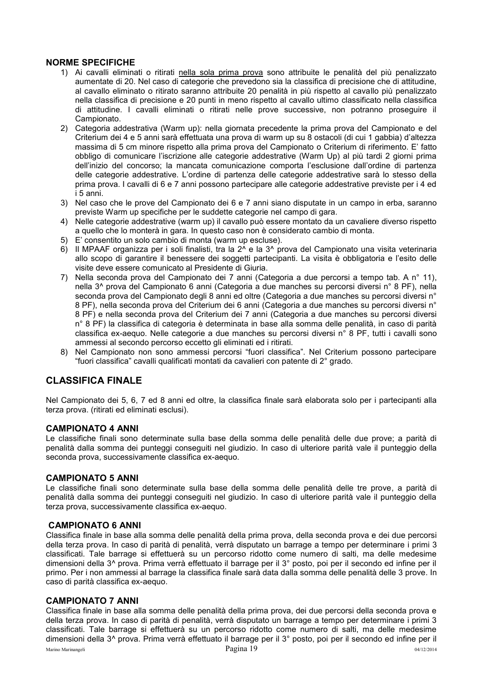### <span id="page-19-0"></span>**NORME SPECIFICHE**

- 1) Ai cavalli eliminati o ritirati nella sola prima prova sono attribuite le penalità del più penalizzato aumentate di 20. Nel caso di categorie che prevedono sia la classifica di precisione che di attitudine, al cavallo eliminato o ritirato saranno attribuite 20 penalità in più rispetto al cavallo più penalizzato nella classifica di precisione e 20 punti in meno rispetto al cavallo ultimo classificato nella classifica di attitudine. I cavalli eliminati o ritirati nelle prove successive, non potranno proseguire il Campionato.
- 2) Categoria addestrativa (Warm up): nella giornata precedente la prima prova del Campionato e del Criterium dei 4 e 5 anni sarà effettuata una prova di warm up su 8 ostacoli (di cui 1 gabbia) d'altezza massima di 5 cm minore rispetto alla prima prova del Campionato o Criterium di riferimento. E' fatto obbligo di comunicare l'iscrizione alle categorie addestrative (Warm Up) al più tardi 2 giorni prima dell'inizio del concorso; la mancata comunicazione comporta l'esclusione dall'ordine di partenza delle categorie addestrative. L'ordine di partenza delle categorie addestrative sarà lo stesso della prima prova. I cavalli di 6 e 7 anni possono partecipare alle categorie addestrative previste per i 4 ed i 5 anni.
- 3) Nel caso che le prove del Campionato dei 6 e 7 anni siano disputate in un campo in erba, saranno previste Warm up specifiche per le suddette categorie nel campo di gara.
- 4) Nelle categorie addestrative (warm up) il cavallo può essere montato da un cavaliere diverso rispetto a quello che lo monterà in gara. In questo caso non è considerato cambio di monta.
- 5) E' consentito un solo cambio di monta (warm up escluse).
- 6) Il MPAAF organizza per i soli finalisti, tra la 2^ e la 3^ prova del Campionato una visita veterinaria allo scopo di garantire il benessere dei soggetti partecipanti. La visita è obbligatoria e l'esito delle visite deve essere comunicato al Presidente di Giuria.
- 7) Nella seconda prova del Campionato dei 7 anni (Categoria a due percorsi a tempo tab. A n° 11), nella 3^ prova del Campionato 6 anni (Categoria a due manches su percorsi diversi n° 8 PF), nella seconda prova del Campionato degli 8 anni ed oltre (Categoria a due manches su percorsi diversi n° 8 PF), nella seconda prova del Criterium dei 6 anni (Categoria a due manches su percorsi diversi n° 8 PF) e nella seconda prova del Criterium dei 7 anni (Categoria a due manches su percorsi diversi n° 8 PF) la classifica di categoria è determinata in base alla somma delle penalità, in caso di parità classifica ex-aequo. Nelle categorie a due manches su percorsi diversi n° 8 PF, tutti i cavalli sono ammessi al secondo percorso eccetto gli eliminati ed i ritirati.
- 8) Nel Campionato non sono ammessi percorsi "fuori classifica". Nel Criterium possono partecipare "fuori classifica" cavalli qualificati montati da cavalieri con patente di 2° grado.

## <span id="page-19-1"></span>**CLASSIFICA FINALE**

Nel Campionato dei 5, 6, 7 ed 8 anni ed oltre, la classifica finale sarà elaborata solo per i partecipanti alla terza prova. (ritirati ed eliminati esclusi).

#### <span id="page-19-2"></span>**CAMPIONATO 4 ANNI**

Le classifiche finali sono determinate sulla base della somma delle penalità delle due prove; a parità di penalità dalla somma dei punteggi conseguiti nel giudizio. In caso di ulteriore parità vale il punteggio della seconda prova, successivamente classifica ex-aequo.

#### <span id="page-19-3"></span>**CAMPIONATO 5 ANNI**

Le classifiche finali sono determinate sulla base della somma delle penalità delle tre prove, a parità di penalità dalla somma dei punteggi conseguiti nel giudizio. In caso di ulteriore parità vale il punteggio della terza prova, successivamente classifica ex-aequo.

#### <span id="page-19-4"></span> **CAMPIONATO 6 ANNI**

Classifica finale in base alla somma delle penalità della prima prova, della seconda prova e dei due percorsi della terza prova. In caso di parità di penalità, verrà disputato un barrage a tempo per determinare i primi 3 classificati. Tale barrage si effettuerà su un percorso ridotto come numero di salti, ma delle medesime dimensioni della 3^ prova. Prima verrà effettuato il barrage per il 3° posto, poi per il secondo ed infine per il primo. Per i non ammessi al barrage la classifica finale sarà data dalla somma delle penalità delle 3 prove. In caso di parità classifica ex-aequo.

#### <span id="page-19-5"></span>**CAMPIONATO 7 ANNI**

Classifica finale in base alla somma delle penalità della prima prova, dei due percorsi della seconda prova e della terza prova. In caso di parità di penalità, verrà disputato un barrage a tempo per determinare i primi 3 classificati. Tale barrage si effettuerà su un percorso ridotto come numero di salti, ma delle medesime dimensioni della 3^ prova. Prima verrà effettuato il barrage per il 3° posto, poi per il secondo ed infine per il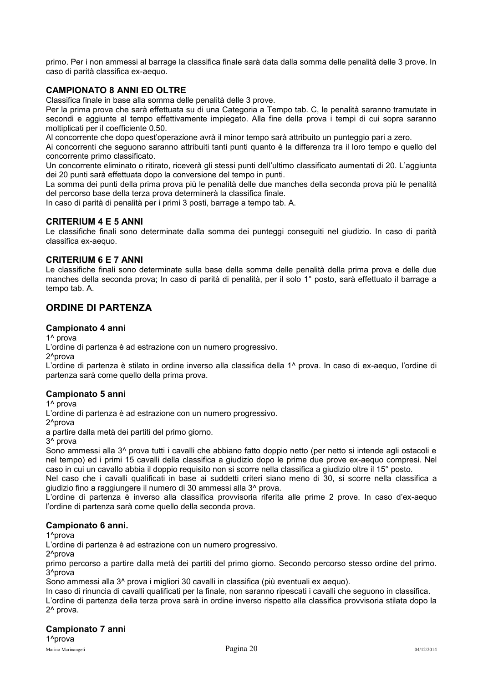primo. Per i non ammessi al barrage la classifica finale sarà data dalla somma delle penalità delle 3 prove. In caso di parità classifica ex-aequo.

### <span id="page-20-0"></span>**CAMPIONATO 8 ANNI ED OLTRE**

Classifica finale in base alla somma delle penalità delle 3 prove.

Per la prima prova che sarà effettuata su di una Categoria a Tempo tab. C, le penalità saranno tramutate in secondi e aggiunte al tempo effettivamente impiegato. Alla fine della prova i tempi di cui sopra saranno moltiplicati per il coefficiente 0.50.

Al concorrente che dopo quest'operazione avrà il minor tempo sarà attribuito un punteggio pari a zero.

Ai concorrenti che seguono saranno attribuiti tanti punti quanto è la differenza tra il loro tempo e quello del concorrente primo classificato.

Un concorrente eliminato o ritirato, riceverà gli stessi punti dell'ultimo classificato aumentati di 20. L'aggiunta dei 20 punti sarà effettuata dopo la conversione del tempo in punti.

La somma dei punti della prima prova più le penalità delle due manches della seconda prova più le penalità del percorso base della terza prova determinerà la classifica finale.

In caso di parità di penalità per i primi 3 posti, barrage a tempo tab. A.

#### <span id="page-20-1"></span>**CRITERIUM 4 E 5 ANNI**

Le classifiche finali sono determinate dalla somma dei punteggi conseguiti nel giudizio. In caso di parità classifica ex-aequo.

#### <span id="page-20-2"></span>**CRITERIUM 6 E 7 ANNI**

Le classifiche finali sono determinate sulla base della somma delle penalità della prima prova e delle due manches della seconda prova; In caso di parità di penalità, per il solo 1° posto, sarà effettuato il barrage a tempo tab. A.

## <span id="page-20-3"></span>**ORDINE DI PARTENZA**

#### **Campionato 4 anni**

1^ prova

L'ordine di partenza è ad estrazione con un numero progressivo.

2^prova

L'ordine di partenza è stilato in ordine inverso alla classifica della 1^ prova. In caso di ex-aequo, l'ordine di partenza sarà come quello della prima prova.

#### **Campionato 5 anni**

1^ prova

L'ordine di partenza è ad estrazione con un numero progressivo.

2^prova

a partire dalla metà dei partiti del primo giorno.

3^ prova

Sono ammessi alla 3<sup>^</sup> prova tutti i cavalli che abbiano fatto doppio netto (per netto si intende agli ostacoli e nel tempo) ed i primi 15 cavalli della classifica a giudizio dopo le prime due prove ex-aequo compresi. Nel caso in cui un cavallo abbia il doppio requisito non si scorre nella classifica a giudizio oltre il 15° posto.

Nel caso che i cavalli qualificati in base ai suddetti criteri siano meno di 30, si scorre nella classifica a giudizio fino a raggiungere il numero di 30 ammessi alla 3^ prova.

L'ordine di partenza è inverso alla classifica provvisoria riferita alle prime 2 prove. In caso d'ex-aequo l'ordine di partenza sarà come quello della seconda prova.

#### **Campionato 6 anni.**

1^prova

L'ordine di partenza è ad estrazione con un numero progressivo.

2^prova

primo percorso a partire dalla metà dei partiti del primo giorno. Secondo percorso stesso ordine del primo. 3^prova

Sono ammessi alla 3^ prova i migliori 30 cavalli in classifica (più eventuali ex aequo).

In caso di rinuncia di cavalli qualificati per la finale, non saranno ripescati i cavalli che seguono in classifica.

L'ordine di partenza della terza prova sarà in ordine inverso rispetto alla classifica provvisoria stilata dopo la 2^ prova.

## **Campionato 7 anni**

1^prova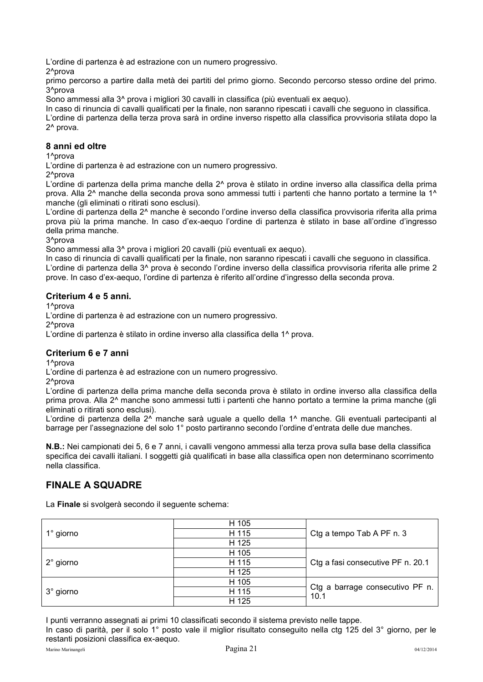L'ordine di partenza è ad estrazione con un numero progressivo.

2^prova

primo percorso a partire dalla metà dei partiti del primo giorno. Secondo percorso stesso ordine del primo. 3^prova

Sono ammessi alla 3^ prova i migliori 30 cavalli in classifica (più eventuali ex aequo).

In caso di rinuncia di cavalli qualificati per la finale, non saranno ripescati i cavalli che seguono in classifica.

L'ordine di partenza della terza prova sarà in ordine inverso rispetto alla classifica provvisoria stilata dopo la 2^ prova.

#### **8 anni ed oltre**

1^prova

L'ordine di partenza è ad estrazione con un numero progressivo.

2<sup>^</sup>prova

L'ordine di partenza della prima manche della 2^ prova è stilato in ordine inverso alla classifica della prima prova. Alla 2^ manche della seconda prova sono ammessi tutti i partenti che hanno portato a termine la 1^ manche (gli eliminati o ritirati sono esclusi).

L'ordine di partenza della 2^ manche è secondo l'ordine inverso della classifica provvisoria riferita alla prima prova più la prima manche. In caso d'ex-aequo l'ordine di partenza è stilato in base all'ordine d'ingresso della prima manche.

3^prova

Sono ammessi alla 3^ prova i migliori 20 cavalli (più eventuali ex aequo).

In caso di rinuncia di cavalli qualificati per la finale, non saranno ripescati i cavalli che seguono in classifica. L'ordine di partenza della 3^ prova è secondo l'ordine inverso della classifica provvisoria riferita alle prime 2 prove. In caso d'ex-aequo, l'ordine di partenza è riferito all'ordine d'ingresso della seconda prova.

### **Criterium 4 e 5 anni.**

1^prova

L'ordine di partenza è ad estrazione con un numero progressivo.

2<sup>^</sup>prova

L'ordine di partenza è stilato in ordine inverso alla classifica della 1^ prova.

## **Criterium 6 e 7 anni**

1^prova

L'ordine di partenza è ad estrazione con un numero progressivo.

2^prova

L'ordine di partenza della prima manche della seconda prova è stilato in ordine inverso alla classifica della prima prova. Alla 2^ manche sono ammessi tutti i partenti che hanno portato a termine la prima manche (gli eliminati o ritirati sono esclusi).

L'ordine di partenza della 2^ manche sarà uguale a quello della 1^ manche. Gli eventuali partecipanti al barrage per l'assegnazione del solo 1° posto partiranno secondo l'ordine d'entrata delle due manches.

**N.B.:** Nei campionati dei 5, 6 e 7 anni, i cavalli vengono ammessi alla terza prova sulla base della classifica specifica dei cavalli italiani. I soggetti già qualificati in base alla classifica open non determinano scorrimento nella classifica.

## <span id="page-21-0"></span>**FINALE A SQUADRE**

La **Finale** si svolgerà secondo il seguente schema:

|                    | H 105 |                                         |
|--------------------|-------|-----------------------------------------|
| $1^\circ$ giorno   | H 115 | Ctg a tempo Tab A PF n. 3               |
|                    | H 125 |                                         |
|                    | H 105 |                                         |
| $2^{\circ}$ giorno | H 115 | Ctg a fasi consecutive PF n. 20.1       |
|                    | H 125 |                                         |
|                    | H 105 |                                         |
| 3° giorno          | H 115 | Ctg a barrage consecutivo PF n.<br>10.1 |
|                    | H 125 |                                         |

I punti verranno assegnati ai primi 10 classificati secondo il sistema previsto nelle tappe. In caso di parità, per il solo 1° posto vale il miglior risultato conseguito nella ctg 125 del 3° giorno, per le restanti posizioni classifica ex-aequo.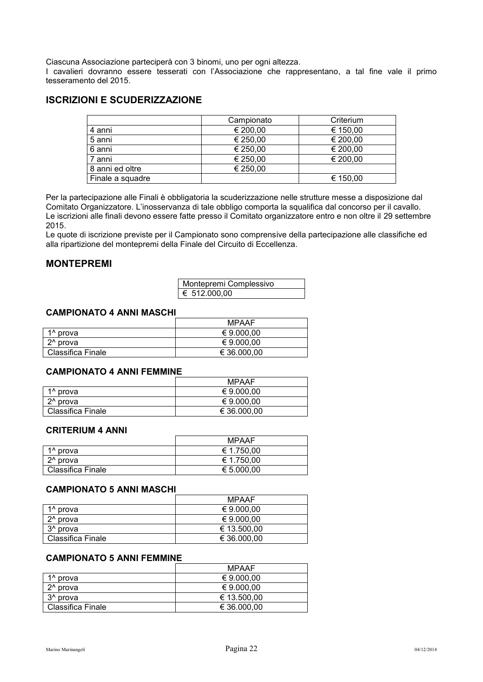Ciascuna Associazione parteciperà con 3 binomi, uno per ogni altezza.

I cavalieri dovranno essere tesserati con l'Associazione che rappresentano, a tal fine vale il primo tesseramento del 2015.

## <span id="page-22-0"></span>**ISCRIZIONI E SCUDERIZZAZIONE**

|                  | Campionato | Criterium |
|------------------|------------|-----------|
| 4 anni           | € 200,00   | € 150,00  |
| 5 anni           | € 250,00   | € 200,00  |
| 6 anni           | € 250,00   | € 200,00  |
| 7 anni           | € 250,00   | € 200,00  |
| 8 anni ed oltre  | € 250,00   |           |
| Finale a squadre |            | € 150,00  |

Per la partecipazione alle Finali è obbligatoria la scuderizzazione nelle strutture messe a disposizione dal Comitato Organizzatore. L'inosservanza di tale obbligo comporta la squalifica dal concorso per il cavallo. Le iscrizioni alle finali devono essere fatte presso il Comitato organizzatore entro e non oltre il 29 settembre 2015.

Le quote di iscrizione previste per il Campionato sono comprensive della partecipazione alle classifiche ed alla ripartizione del montepremi della Finale del Circuito di Eccellenza.

## <span id="page-22-1"></span>**MONTEPREMI**

| Montepremi Complessivo |  |
|------------------------|--|
| € 512.000,00           |  |

#### <span id="page-22-2"></span>**CAMPIONATO 4 ANNI MASCHI**

|                          | MPAAF       |
|--------------------------|-------------|
| 1 <sup>^</sup> prova     | € 9.000,00  |
| 2 <sup>^</sup> prova     | € 9.000,00  |
| <b>Classifica Finale</b> | € 36,000,00 |

#### <span id="page-22-3"></span>**CAMPIONATO 4 ANNI FEMMINE**

|                          | <b>MPAAF</b> |
|--------------------------|--------------|
| 1 <sup>^</sup> prova     | € 9.000.00   |
| 2 <sup>^</sup> prova     | € 9.000.00   |
| <b>Classifica Finale</b> | € 36.000,00  |

#### <span id="page-22-4"></span>**CRITERIUM 4 ANNI**

|                      | <b>MPAAF</b> |
|----------------------|--------------|
| 1 <sup>^</sup> prova | € 1.750,00   |
| 2^ prova             | € 1.750.00   |
| Classifica Finale    | € 5.000,00   |

#### <span id="page-22-5"></span>**CAMPIONATO 5 ANNI MASCHI**

|                      | <b>MPAAF</b> |
|----------------------|--------------|
| 1 <sup>^</sup> prova | € 9.000.00   |
| $2^{\wedge}$ prova   | € 9.000.00   |
| 3 <sup>^</sup> prova | € 13.500,00  |
| Classifica Finale    | € 36.000,00  |

#### <span id="page-22-6"></span>**CAMPIONATO 5 ANNI FEMMINE**

|                      | <b>MPAAF</b> |
|----------------------|--------------|
| 1 <sup>^</sup> prova | € 9.000.00   |
| 2 <sup>^</sup> prova | € 9.000.00   |
| 3 <sup>^</sup> prova | € 13.500.00  |
| Classifica Finale    | € 36,000,00  |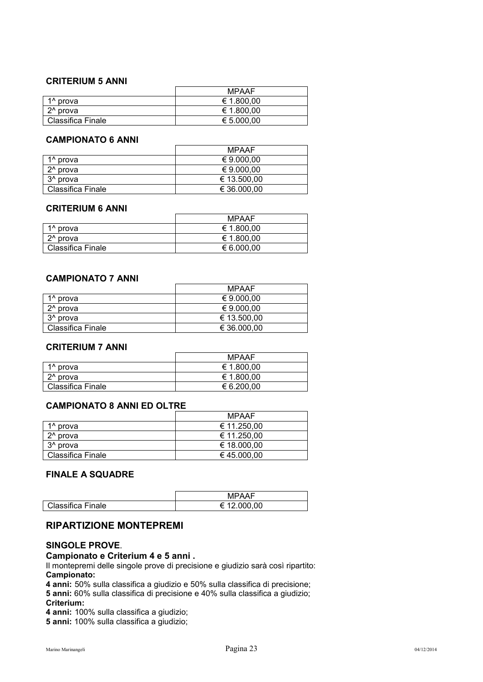#### <span id="page-23-0"></span>**CRITERIUM 5 ANNI**

|                      | <b>MPAAF</b> |
|----------------------|--------------|
| 1 <sup>^</sup> prova | € 1.800,00   |
| $2^{\wedge}$ prova   | € 1.800,00   |
| Classifica Finale    | € 5.000,00   |

#### <span id="page-23-1"></span>**CAMPIONATO 6 ANNI**

|                      | <b>MPAAF</b> |
|----------------------|--------------|
| 1 <sup>^</sup> prova | € 9.000,00   |
| 2 <sup>^</sup> prova | € 9.000.00   |
| 3 <sup>^</sup> prova | € 13.500.00  |
| Classifica Finale    | € 36.000,00  |

### <span id="page-23-2"></span>**CRITERIUM 6 ANNI**

|                      | <b>MPAAF</b> |
|----------------------|--------------|
| 1 <sup>^</sup> prova | € 1.800,00   |
| 2 <sup>^</sup> prova | € 1.800,00   |
| Classifica Finale    | € 6.000,00   |

#### <span id="page-23-3"></span>**CAMPIONATO 7 ANNI**

|                          | MPAAF       |
|--------------------------|-------------|
| 1 <sup>^</sup> prova     | € 9.000.00  |
| 2 <sup>^</sup> prova     | € 9.000.00  |
| 3 <sup>^</sup> prova     | € 13.500,00 |
| <b>Classifica Finale</b> | € 36.000,00 |

#### <span id="page-23-4"></span>**CRITERIUM 7 ANNI**

|                          | <b>MPAAF</b> |
|--------------------------|--------------|
| 1 <sup>^</sup> prova     | € 1.800,00   |
| 2 <sup>^</sup> prova     | € 1.800,00   |
| <b>Classifica Finale</b> | € 6.200,00   |

### <span id="page-23-5"></span>**CAMPIONATO 8 ANNI ED OLTRE**

|                          | MPAAF       |
|--------------------------|-------------|
| 1 <sup>^</sup> prova     | € 11.250,00 |
| 2 <sup>^</sup> prova     | € 11.250,00 |
| 3 <sup>^</sup> prova     | € 18.000.00 |
| <b>Classifica Finale</b> | € 45.000,00 |

## <span id="page-23-6"></span>**FINALE A SQUADRE**

|                   | MPAAF                  |
|-------------------|------------------------|
| Classifica Finale | 12.000,00<br>⊧<br>---- |

### <span id="page-23-7"></span>**RIPARTIZIONE MONTEPREMI**

### <span id="page-23-8"></span>**SINGOLE PROVE**.

#### **Campionato e Criterium 4 e 5 anni .**

Il montepremi delle singole prove di precisione e giudizio sarà così ripartito: **Campionato:** 

**4 anni:** 50% sulla classifica a giudizio e 50% sulla classifica di precisione; **5 anni:** 60% sulla classifica di precisione e 40% sulla classifica a giudizio;

#### **Criterium:**

**4 anni:** 100% sulla classifica a giudizio;

**5 anni:** 100% sulla classifica a giudizio;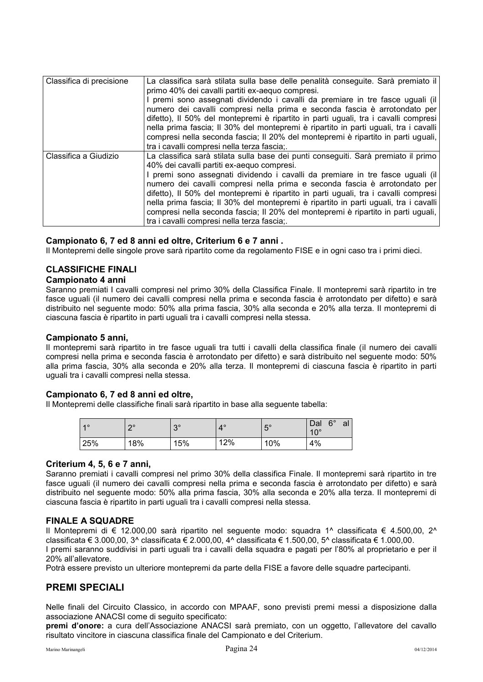| Classifica di precisione | La classifica sarà stilata sulla base delle penalità conseguite. Sarà premiato il    |
|--------------------------|--------------------------------------------------------------------------------------|
|                          |                                                                                      |
|                          | primo 40% dei cavalli partiti ex-aequo compresi.                                     |
|                          | I premi sono assegnati dividendo i cavalli da premiare in tre fasce uguali (il       |
|                          | numero dei cavalli compresi nella prima e seconda fascia è arrotondato per           |
|                          | difetto), Il 50% del montepremi è ripartito in parti uguali, tra i cavalli compresi  |
|                          |                                                                                      |
|                          | nella prima fascia; Il 30% del montepremi è ripartito in parti uguali, tra i cavalli |
|                          | compresi nella seconda fascia; Il 20% del montepremi è ripartito in parti uguali,    |
|                          | tra i cavalli compresi nella terza fascia;.                                          |
| Classifica a Giudizio    | La classifica sarà stilata sulla base dei punti conseguiti. Sarà premiato il primo   |
|                          | 40% dei cavalli partiti ex-aequo compresi.                                           |
|                          | I premi sono assegnati dividendo i cavalli da premiare in tre fasce uguali (il       |
|                          | numero dei cavalli compresi nella prima e seconda fascia è arrotondato per           |
|                          | difetto), Il 50% del montepremi è ripartito in parti uguali, tra i cavalli compresi  |
|                          | nella prima fascia; Il 30% del montepremi è ripartito in parti uguali, tra i cavalli |
|                          |                                                                                      |
|                          | compresi nella seconda fascia; Il 20% del montepremi è ripartito in parti uguali,    |
|                          | tra i cavalli compresi nella terza fascia;.                                          |

#### **Campionato 6, 7 ed 8 anni ed oltre, Criterium 6 e 7 anni .**

Il Montepremi delle singole prove sarà ripartito come da regolamento FISE e in ogni caso tra i primi dieci.

## <span id="page-24-0"></span>**CLASSIFICHE FINALI**

#### **Campionato 4 anni**

Saranno premiati I cavalli compresi nel primo 30% della Classifica Finale. Il montepremi sarà ripartito in tre fasce uguali (il numero dei cavalli compresi nella prima e seconda fascia è arrotondato per difetto) e sarà distribuito nel seguente modo: 50% alla prima fascia, 30% alla seconda e 20% alla terza. Il montepremi di ciascuna fascia è ripartito in parti uguali tra i cavalli compresi nella stessa.

#### **Campionato 5 anni,**

Il montepremi sarà ripartito in tre fasce uguali tra tutti i cavalli della classifica finale (il numero dei cavalli compresi nella prima e seconda fascia è arrotondato per difetto) e sarà distribuito nel seguente modo: 50% alla prima fascia, 30% alla seconda e 20% alla terza. Il montepremi di ciascuna fascia è ripartito in parti uguali tra i cavalli compresi nella stessa.

#### **Campionato 6, 7 ed 8 anni ed oltre,**

Il Montepremi delle classifiche finali sarà ripartito in base alla seguente tabella:

| 40  | $\Omega$<br>_ | $\Omega$<br>ັ | $4^\circ$ | $15^\circ$ | $6^{\circ}$<br>Dal<br>$10^{\circ}$ | al |
|-----|---------------|---------------|-----------|------------|------------------------------------|----|
| 25% | 18%           | 15%           | 12%       | 10%        | 4%                                 |    |

#### **Criterium 4, 5, 6 e 7 anni,**

Saranno premiati i cavalli compresi nel primo 30% della classifica Finale. Il montepremi sarà ripartito in tre fasce uguali (il numero dei cavalli compresi nella prima e seconda fascia è arrotondato per difetto) e sarà distribuito nel seguente modo: 50% alla prima fascia, 30% alla seconda e 20% alla terza. Il montepremi di ciascuna fascia è ripartito in parti uguali tra i cavalli compresi nella stessa.

#### <span id="page-24-1"></span>**FINALE A SQUADRE**

Il Montepremi di € 12.000,00 sarà ripartito nel seguente modo: squadra 1^ classificata € 4.500,00, 2^ classificata € 3.000,00, 3^ classificata € 2.000,00, 4^ classificata € 1.500,00, 5^ classificata € 1.000,00.

I premi saranno suddivisi in parti uguali tra i cavalli della squadra e pagati per l'80% al proprietario e per il 20% all'allevatore.

Potrà essere previsto un ulteriore montepremi da parte della FISE a favore delle squadre partecipanti.

## <span id="page-24-2"></span>**PREMI SPECIALI**

Nelle finali del Circuito Classico, in accordo con MPAAF, sono previsti premi messi a disposizione dalla associazione ANACSI come di seguito specificato:

**premi d'onore:** a cura dell'Associazione ANACSI sarà premiato, con un oggetto, l'allevatore del cavallo risultato vincitore in ciascuna classifica finale del Campionato e del Criterium.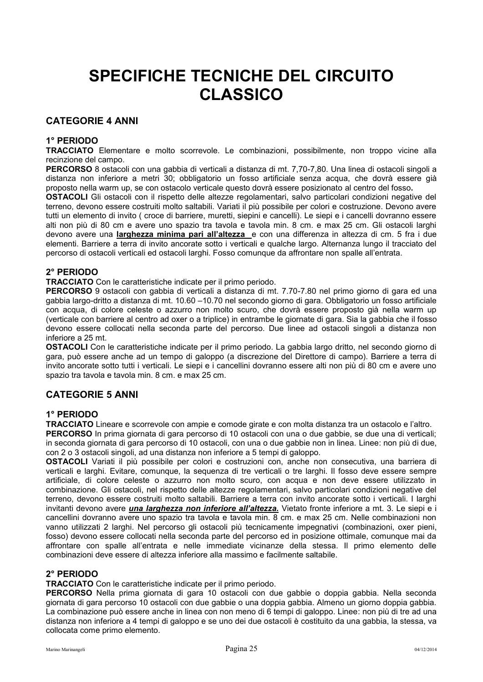## <span id="page-25-0"></span>**SPECIFICHE TECNICHE DEL CIRCUITO CLASSICO**

## <span id="page-25-1"></span>**CATEGORIE 4 ANNI**

#### <span id="page-25-2"></span>**1° PERIODO**

**TRACCIATO** Elementare e molto scorrevole. Le combinazioni, possibilmente, non troppo vicine alla recinzione del campo.

**PERCORSO** 8 ostacoli con una gabbia di verticali a distanza di mt. 7,70-7,80. Una linea di ostacoli singoli a distanza non inferiore a metri 30; obbligatorio un fosso artificiale senza acqua, che dovrà essere già proposto nella warm up, se con ostacolo verticale questo dovrà essere posizionato al centro del fosso**.** 

**OSTACOLI** Gli ostacoli con il rispetto delle altezze regolamentari, salvo particolari condizioni negative del terreno, devono essere costruiti molto saltabili. Variati il più possibile per colori e costruzione. Devono avere tutti un elemento di invito ( croce di barriere, muretti, siepini e cancelli). Le siepi e i cancelli dovranno essere alti non più di 80 cm e avere uno spazio tra tavola e tavola min. 8 cm. e max 25 cm. Gli ostacoli larghi devono avere una **larghezza minima pari all'altezza** e con una differenza in altezza di cm. 5 fra i due elementi. Barriere a terra di invito ancorate sotto i verticali e qualche largo. Alternanza lungo il tracciato del percorso di ostacoli verticali ed ostacoli larghi. Fosso comunque da affrontare non spalle all'entrata.

### <span id="page-25-3"></span>**2° PERIODO**

**TRACCIATO** Con le caratteristiche indicate per il primo periodo.

**PERCORSO** 9 ostacoli con gabbia di verticali a distanza di mt. 7.70-7.80 nel primo giorno di gara ed una gabbia largo-dritto a distanza di mt. 10.60 –10.70 nel secondo giorno di gara. Obbligatorio un fosso artificiale con acqua, di colore celeste o azzurro non molto scuro, che dovrà essere proposto già nella warm up (verticale con barriere al centro ad oxer o a triplice) in entrambe le giornate di gara. Sia la gabbia che il fosso devono essere collocati nella seconda parte del percorso. Due linee ad ostacoli singoli a distanza non inferiore a 25 mt.

**OSTACOLI** Con le caratteristiche indicate per il primo periodo. La gabbia largo dritto, nel secondo giorno di gara, può essere anche ad un tempo di galoppo (a discrezione del Direttore di campo). Barriere a terra di invito ancorate sotto tutti i verticali. Le siepi e i cancellini dovranno essere alti non più di 80 cm e avere uno spazio tra tavola e tavola min. 8 cm. e max 25 cm.

## <span id="page-25-4"></span>**CATEGORIE 5 ANNI**

#### <span id="page-25-5"></span>**1° PERIODO**

**TRACCIATO** Lineare e scorrevole con ampie e comode girate e con molta distanza tra un ostacolo e l'altro.

**PERCORSO** In prima giornata di gara percorso di 10 ostacoli con una o due gabbie, se due una di verticali; in seconda giornata di gara percorso di 10 ostacoli, con una o due gabbie non in linea. Linee: non più di due, con 2 o 3 ostacoli singoli, ad una distanza non inferiore a 5 tempi di galoppo.

**OSTACOLI** Variati il più possibile per colori e costruzioni con, anche non consecutiva, una barriera di verticali e larghi. Evitare, comunque, la sequenza di tre verticali o tre larghi. Il fosso deve essere sempre artificiale, di colore celeste o azzurro non molto scuro, con acqua e non deve essere utilizzato in combinazione. Gli ostacoli, nel rispetto delle altezze regolamentari, salvo particolari condizioni negative del terreno, devono essere costruiti molto saltabili. Barriere a terra con invito ancorate sotto i verticali. I larghi invitanti devono avere *una larghezza non inferiore all'altezza.* Vietato fronte inferiore a mt. 3. Le siepi e i cancellini dovranno avere uno spazio tra tavola e tavola min. 8 cm. e max 25 cm. Nelle combinazioni non vanno utilizzati 2 larghi. Nel percorso gli ostacoli più tecnicamente impegnativi (combinazioni, oxer pieni, fosso) devono essere collocati nella seconda parte del percorso ed in posizione ottimale, comunque mai da affrontare con spalle all'entrata e nelle immediate vicinanze della stessa. Il primo elemento delle combinazioni deve essere di altezza inferiore alla massimo e facilmente saltabile.

#### <span id="page-25-6"></span>**2° PERIODO**

**TRACCIATO** Con le caratteristiche indicate per il primo periodo.

**PERCORSO** Nella prima giornata di gara 10 ostacoli con due gabbie o doppia gabbia. Nella seconda giornata di gara percorso 10 ostacoli con due gabbie o una doppia gabbia. Almeno un giorno doppia gabbia. La combinazione può essere anche in linea con non meno di 6 tempi di galoppo. Linee: non più di tre ad una distanza non inferiore a 4 tempi di galoppo e se uno dei due ostacoli è costituito da una gabbia, la stessa, va collocata come primo elemento.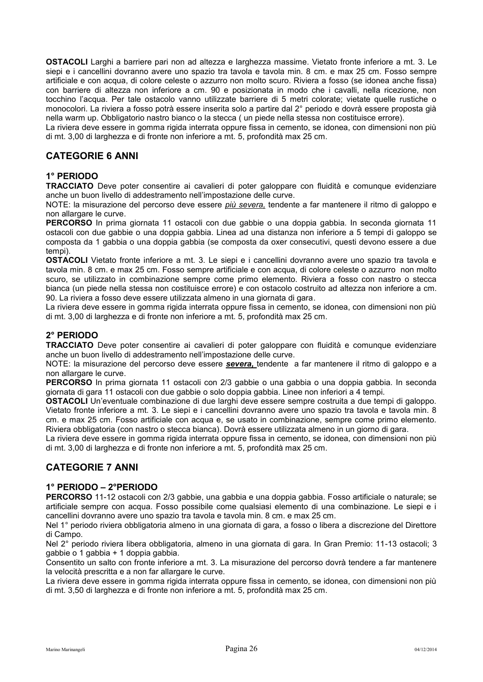**OSTACOLI** Larghi a barriere pari non ad altezza e larghezza massime. Vietato fronte inferiore a mt. 3. Le siepi e i cancellini dovranno avere uno spazio tra tavola e tavola min. 8 cm. e max 25 cm. Fosso sempre artificiale e con acqua, di colore celeste o azzurro non molto scuro. Riviera a fosso (se idonea anche fissa) con barriere di altezza non inferiore a cm. 90 e posizionata in modo che i cavalli, nella ricezione, non tocchino l'acqua. Per tale ostacolo vanno utilizzate barriere di 5 metri colorate; vietate quelle rustiche o monocolori. La riviera a fosso potrà essere inserita solo a partire dal 2° periodo e dovrà essere proposta già nella warm up. Obbligatorio nastro bianco o la stecca ( un piede nella stessa non costituisce errore).

La riviera deve essere in gomma rigida interrata oppure fissa in cemento, se idonea, con dimensioni non più di mt. 3,00 di larghezza e di fronte non inferiore a mt. 5, profondità max 25 cm.

## <span id="page-26-0"></span>**CATEGORIE 6 ANNI**

#### <span id="page-26-1"></span>**1° PERIODO**

**TRACCIATO** Deve poter consentire ai cavalieri di poter galoppare con fluidità e comunque evidenziare anche un buon livello di addestramento nell'impostazione delle curve.

NOTE: la misurazione del percorso deve essere *più severa,* tendente a far mantenere il ritmo di galoppo e non allargare le curve.

**PERCORSO** In prima giornata 11 ostacoli con due gabbie o una doppia gabbia. In seconda giornata 11 ostacoli con due gabbie o una doppia gabbia. Linea ad una distanza non inferiore a 5 tempi di galoppo se composta da 1 gabbia o una doppia gabbia (se composta da oxer consecutivi, questi devono essere a due tempi).

**OSTACOLI** Vietato fronte inferiore a mt. 3. Le siepi e i cancellini dovranno avere uno spazio tra tavola e tavola min. 8 cm. e max 25 cm. Fosso sempre artificiale e con acqua, di colore celeste o azzurro non molto scuro, se utilizzato in combinazione sempre come primo elemento. Riviera a fosso con nastro o stecca bianca (un piede nella stessa non costituisce errore) e con ostacolo costruito ad altezza non inferiore a cm. 90. La riviera a fosso deve essere utilizzata almeno in una giornata di gara.

La riviera deve essere in gomma rigida interrata oppure fissa in cemento, se idonea, con dimensioni non più di mt. 3,00 di larghezza e di fronte non inferiore a mt. 5, profondità max 25 cm.

### <span id="page-26-2"></span>**2° PERIODO**

**TRACCIATO** Deve poter consentire ai cavalieri di poter galoppare con fluidità e comunque evidenziare anche un buon livello di addestramento nell'impostazione delle curve.

NOTE: la misurazione del percorso deve essere *severa,* tendente a far mantenere il ritmo di galoppo e a non allargare le curve.

**PERCORSO** In prima giornata 11 ostacoli con 2/3 gabbie o una gabbia o una doppia gabbia. In seconda giornata di gara 11 ostacoli con due gabbie o solo doppia gabbia. Linee non inferiori a 4 tempi.

**OSTACOLI** Un'eventuale combinazione di due larghi deve essere sempre costruita a due tempi di galoppo. Vietato fronte inferiore a mt. 3. Le siepi e i cancellini dovranno avere uno spazio tra tavola e tavola min. 8 cm. e max 25 cm. Fosso artificiale con acqua e, se usato in combinazione, sempre come primo elemento. Riviera obbligatoria (con nastro o stecca bianca). Dovrà essere utilizzata almeno in un giorno di gara.

La riviera deve essere in gomma rigida interrata oppure fissa in cemento, se idonea, con dimensioni non più di mt. 3,00 di larghezza e di fronte non inferiore a mt. 5, profondità max 25 cm.

## <span id="page-26-3"></span>**CATEGORIE 7 ANNI**

#### <span id="page-26-4"></span>**1° PERIODO – 2°PERIODO**

PERCORSO 11-12 ostacoli con 2/3 gabbie, una gabbia e una doppia gabbia. Fosso artificiale o naturale; se artificiale sempre con acqua. Fosso possibile come qualsiasi elemento di una combinazione. Le siepi e i cancellini dovranno avere uno spazio tra tavola e tavola min. 8 cm. e max 25 cm.

Nel 1° periodo riviera obbligatoria almeno in una giornata di gara, a fosso o libera a discrezione del Direttore di Campo.

Nel 2° periodo riviera libera obbligatoria, almeno in una giornata di gara. In Gran Premio: 11-13 ostacoli; 3 gabbie o 1 gabbia + 1 doppia gabbia.

Consentito un salto con fronte inferiore a mt. 3. La misurazione del percorso dovrà tendere a far mantenere la velocità prescritta e a non far allargare le curve.

La riviera deve essere in gomma rigida interrata oppure fissa in cemento, se idonea, con dimensioni non più di mt. 3,50 di larghezza e di fronte non inferiore a mt. 5, profondità max 25 cm.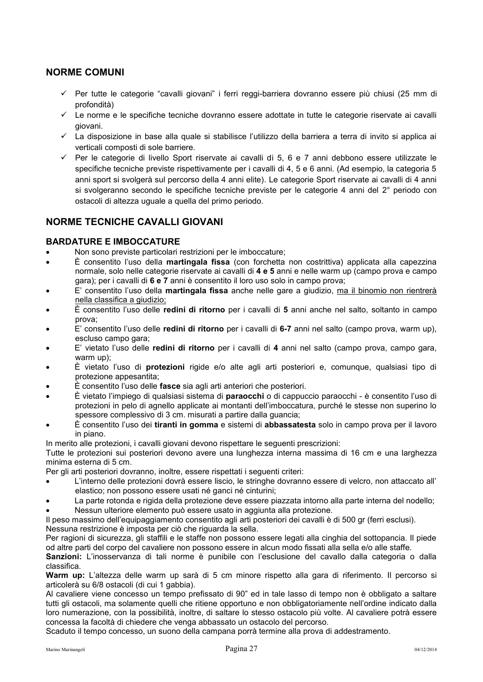## <span id="page-27-0"></span>**NORME COMUNI**

- Per tutte le categorie "cavalli giovani" i ferri reggi-barriera dovranno essere più chiusi (25 mm di profondità)
- $\checkmark$  Le norme e le specifiche tecniche dovranno essere adottate in tutte le categorie riservate ai cavalli giovani.
- $\checkmark$  La disposizione in base alla quale si stabilisce l'utilizzo della barriera a terra di invito si applica ai verticali composti di sole barriere.
- $\checkmark$  Per le categorie di livello Sport riservate ai cavalli di 5, 6 e 7 anni debbono essere utilizzate le specifiche tecniche previste rispettivamente per i cavalli di 4, 5 e 6 anni. (Ad esempio, la categoria 5 anni sport si svolgerà sul percorso della 4 anni elite). Le categorie Sport riservate ai cavalli di 4 anni si svolgeranno secondo le specifiche tecniche previste per le categorie 4 anni del 2° periodo con ostacoli di altezza uguale a quella del primo periodo.

## <span id="page-27-1"></span>**NORME TECNICHE CAVALLI GIOVANI**

#### <span id="page-27-2"></span>**BARDATURE E IMBOCCATURE**

- Non sono previste particolari restrizioni per le imboccature;
- È consentito l'uso della **martingala fissa** (con forchetta non costrittiva) applicata alla capezzina normale, solo nelle categorie riservate ai cavalli di **4 e 5** anni e nelle warm up (campo prova e campo gara); per i cavalli di **6 e 7** anni è consentito il loro uso solo in campo prova;
- E' consentito l'uso della **martingala fissa** anche nelle gare a giudizio, ma il binomio non rientrerà nella classifica a giudizio;
- È consentito l'uso delle **redini di ritorno** per i cavalli di **5** anni anche nel salto, soltanto in campo prova;
- E' consentito l'uso delle **redini di ritorno** per i cavalli di **6-7** anni nel salto (campo prova, warm up), escluso campo gara;
- E' vietato l'uso delle **redini di ritorno** per i cavalli di **4** anni nel salto (campo prova, campo gara, warm up);
- È vietato l'uso di **protezioni** rigide e/o alte agli arti posteriori e, comunque, qualsiasi tipo di protezione appesantita;
- È consentito l'uso delle **fasce** sia agli arti anteriori che posteriori.
- È vietato l'impiego di qualsiasi sistema di **paraocchi** o di cappuccio paraocchi è consentito l'uso di protezioni in pelo di agnello applicate ai montanti dell'imboccatura, purché le stesse non superino lo spessore complessivo di 3 cm. misurati a partire dalla guancia;
- È consentito l'uso dei **tiranti in gomma** e sistemi di **abbassatesta** solo in campo prova per il lavoro in piano.

In merito alle protezioni, i cavalli giovani devono rispettare le seguenti prescrizioni:

Tutte le protezioni sui posteriori devono avere una lunghezza interna massima di 16 cm e una larghezza minima esterna di 5 cm.

Per gli arti posteriori dovranno, inoltre, essere rispettati i seguenti criteri:

- L'interno delle protezioni dovrà essere liscio, le stringhe dovranno essere di velcro, non attaccato all' elastico; non possono essere usati né ganci né cinturini;
- La parte rotonda e rigida della protezione deve essere piazzata intorno alla parte interna del nodello;
- Nessun ulteriore elemento può essere usato in aggiunta alla protezione.

Il peso massimo dell'equipaggiamento consentito agli arti posteriori dei cavalli è di 500 gr (ferri esclusi). Nessuna restrizione è imposta per ciò che riguarda la sella.

Per ragioni di sicurezza, gli staffili e le staffe non possono essere legati alla cinghia del sottopancia. Il piede od altre parti del corpo del cavaliere non possono essere in alcun modo fissati alla sella e/o alle staffe.

**Sanzioni:** L'inosservanza di tali norme è punibile con l'esclusione del cavallo dalla categoria o dalla classifica.

**Warm up:** L'altezza delle warm up sarà di 5 cm minore rispetto alla gara di riferimento. Il percorso si articolerà su 6/8 ostacoli (di cui 1 gabbia).

Al cavaliere viene concesso un tempo prefissato di 90" ed in tale lasso di tempo non è obbligato a saltare tutti gli ostacoli, ma solamente quelli che ritiene opportuno e non obbligatoriamente nell'ordine indicato dalla loro numerazione, con la possibilità, inoltre, di saltare lo stesso ostacolo più volte. Al cavaliere potrà essere concessa la facoltà di chiedere che venga abbassato un ostacolo del percorso.

Scaduto il tempo concesso, un suono della campana porrà termine alla prova di addestramento.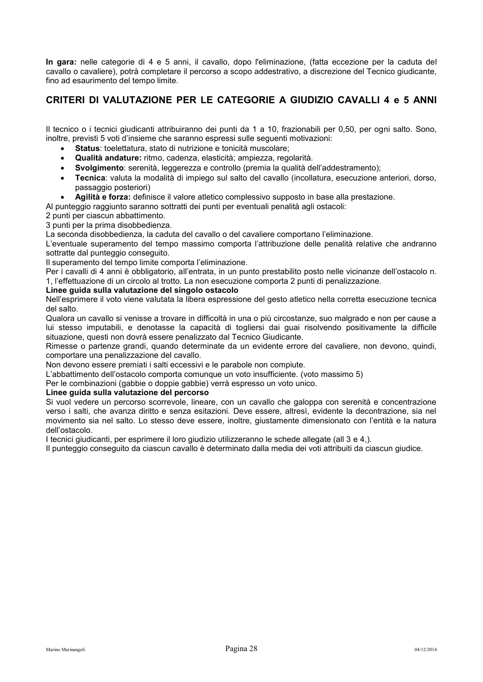**In gara:** nelle categorie di 4 e 5 anni, il cavallo, dopo l'eliminazione, (fatta eccezione per la caduta del cavallo o cavaliere), potrà completare il percorso a scopo addestrativo, a discrezione del Tecnico giudicante, fino ad esaurimento del tempo limite.

## <span id="page-28-0"></span>**CRITERI DI VALUTAZIONE PER LE CATEGORIE A GIUDIZIO CAVALLI 4 e 5 ANNI**

Il tecnico o i tecnici giudicanti attribuiranno dei punti da 1 a 10, frazionabili per 0,50, per ogni salto. Sono, inoltre, previsti 5 voti d'insieme che saranno espressi sulle seguenti motivazioni:

- **Status**: toelettatura, stato di nutrizione e tonicità muscolare;
- **Qualità andature:** ritmo, cadenza, elasticità; ampiezza, regolarità.
- **Svolgimento**: serenità, leggerezza e controllo (premia la qualità dell'addestramento);
- **Tecnica**: valuta la modalità di impiego sul salto del cavallo (incollatura, esecuzione anteriori, dorso, passaggio posteriori)
- **Agilità e forza:** definisce il valore atletico complessivo supposto in base alla prestazione.

Al punteggio raggiunto saranno sottratti dei punti per eventuali penalità agli ostacoli:

2 punti per ciascun abbattimento.

3 punti per la prima disobbedienza.

La seconda disobbedienza, la caduta del cavallo o del cavaliere comportano l'eliminazione.

L'eventuale superamento del tempo massimo comporta l'attribuzione delle penalità relative che andranno sottratte dal punteggio conseguito.

Il superamento del tempo limite comporta l'eliminazione.

Per i cavalli di 4 anni è obbligatorio, all'entrata, in un punto prestabilito posto nelle vicinanze dell'ostacolo n. 1, l'effettuazione di un circolo al trotto. La non esecuzione comporta 2 punti di penalizzazione.

#### **Linee guida sulla valutazione del singolo ostacolo**

Nell'esprimere il voto viene valutata la libera espressione del gesto atletico nella corretta esecuzione tecnica del salto.

Qualora un cavallo si venisse a trovare in difficoltà in una o più circostanze, suo malgrado e non per cause a lui stesso imputabili, e denotasse la capacità di togliersi dai guai risolvendo positivamente la difficile situazione, questi non dovrà essere penalizzato dal Tecnico Giudicante.

Rimesse o partenze grandi, quando determinate da un evidente errore del cavaliere, non devono, quindi, comportare una penalizzazione del cavallo.

Non devono essere premiati i salti eccessivi e le parabole non compiute.

L'abbattimento dell'ostacolo comporta comunque un voto insufficiente. (voto massimo 5)

Per le combinazioni (gabbie o doppie gabbie) verrà espresso un voto unico.

#### **Linee guida sulla valutazione del percorso**

Si vuol vedere un percorso scorrevole, lineare, con un cavallo che galoppa con serenità e concentrazione verso i salti, che avanza diritto e senza esitazioni. Deve essere, altresì, evidente la decontrazione, sia nel movimento sia nel salto. Lo stesso deve essere, inoltre, giustamente dimensionato con l'entità e la natura dell'ostacolo.

I tecnici giudicanti, per esprimere il loro giudizio utilizzeranno le schede allegate (all 3 e 4,).

Il punteggio conseguito da ciascun cavallo è determinato dalla media dei voti attribuiti da ciascun giudice.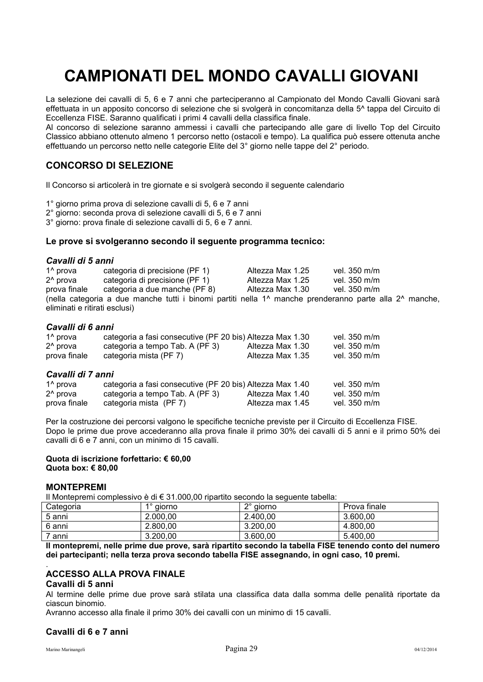## <span id="page-29-0"></span>**CAMPIONATI DEL MONDO CAVALLI GIOVANI**

La selezione dei cavalli di 5, 6 e 7 anni che parteciperanno al Campionato del Mondo Cavalli Giovani sarà effettuata in un apposito concorso di selezione che si svolgerà in concomitanza della 5^ tappa del Circuito di Eccellenza FISE. Saranno qualificati i primi 4 cavalli della classifica finale.

Al concorso di selezione saranno ammessi i cavalli che partecipando alle gare di livello Top del Circuito Classico abbiano ottenuto almeno 1 percorso netto (ostacoli e tempo). La qualifica può essere ottenuta anche effettuando un percorso netto nelle categorie Elite del 3° giorno nelle tappe del 2° periodo.

## <span id="page-29-1"></span>**CONCORSO DI SELEZIONE**

Il Concorso si articolerà in tre giornate e si svolgerà secondo il seguente calendario

1° giorno prima prova di selezione cavalli di 5, 6 e 7 anni

2° giorno: seconda prova di selezione cavalli di 5, 6 e 7 anni

3° giorno: prova finale di selezione cavalli di 5, 6 e 7 anni.

#### **Le prove si svolgeranno secondo il seguente programma tecnico:**

#### *Cavalli di 5 anni*

| 1 <sup>^</sup> prova          | categoria di precisione (PF 1)                                                                                                 | Altezza Max 1.25 | vel. 350 m/m |
|-------------------------------|--------------------------------------------------------------------------------------------------------------------------------|------------------|--------------|
| 2 <sup>^</sup> prova          | categoria di precisione (PF 1)                                                                                                 | Altezza Max 1.25 | vel. 350 m/m |
| prova finale                  | categoria a due manche (PF 8)                                                                                                  | Altezza Max 1.30 | vel. 350 m/m |
|                               | (nella categoria a due manche tutti i binomi partiti nella 1 <sup>^</sup> manche prenderanno parte alla 2 <sup>^</sup> manche, |                  |              |
| eliminati e ritirati esclusi) |                                                                                                                                |                  |              |

#### *Cavalli di 6 anni*

| 1 <sup>^</sup> prova | categoria a fasi consecutive (PF 20 bis) Altezza Max 1.30 |                  | vel. 350 m/m |
|----------------------|-----------------------------------------------------------|------------------|--------------|
| 2 <sup>^</sup> prova | categoria a tempo Tab. A (PF 3)                           | Altezza Max 1.30 | vel. 350 m/m |
| prova finale         | categoria mista (PF 7)                                    | Altezza Max 1.35 | vel. 350 m/m |
| Cavalli di 7 anni    |                                                           |                  |              |
| 1 <sup>^</sup> prova | categoria a fasi consecutive (PF 20 bis) Altezza Max 1.40 |                  | vel. 350 m/m |
| 2 <sup>^</sup> prova | categoria a tempo Tab. A (PF 3)                           | Altezza Max 1.40 | vel. 350 m/m |
| prova finale         | categoria mista (PF 7)                                    | Altezza max 1.45 | vel. 350 m/m |

Per la costruzione dei percorsi valgono le specifiche tecniche previste per il Circuito di Eccellenza FISE. Dopo le prime due prove accederanno alla prova finale il primo 30% dei cavalli di 5 anni e il primo 50% dei cavalli di 6 e 7 anni, con un minimo di 15 cavalli.

#### **Quota di iscrizione forfettario: € 60,00 Quota box: € 80,00**

#### <span id="page-29-2"></span>**MONTEPREMI**

Il Montepremi complessivo è di € 31.000,00 ripartito secondo la seguente tabella:

| Categoria | 1° giorno | 2° giorno | Prova finale |
|-----------|-----------|-----------|--------------|
| 5 anni    | 2.000,00  | 2.400.00  | 3.600,00     |
| 6 anni    | 2.800.00  | 3.200.00  | 4.800.00     |
| ' anni    | 3.200,00  | 3.600.00  | 5.400.00     |

**Il montepremi, nelle prime due prove, sarà ripartito secondo la tabella FISE tenendo conto del numero dei partecipanti; nella terza prova secondo tabella FISE assegnando, in ogni caso, 10 premi.** 

#### <span id="page-29-3"></span>. **ACCESSO ALLA PROVA FINALE**

#### **Cavalli di 5 anni**

Al termine delle prime due prove sarà stilata una classifica data dalla somma delle penalità riportate da ciascun binomio.

Avranno accesso alla finale il primo 30% dei cavalli con un minimo di 15 cavalli.

#### **Cavalli di 6 e 7 anni**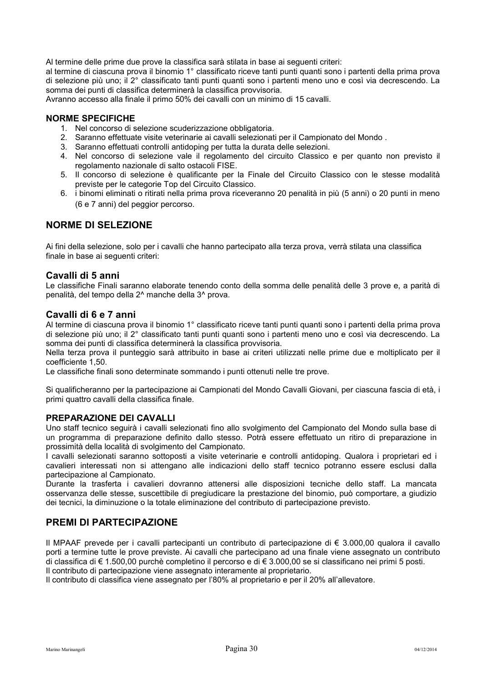Al termine delle prime due prove la classifica sarà stilata in base ai seguenti criteri:

al termine di ciascuna prova il binomio 1° classificato riceve tanti punti quanti sono i partenti della prima prova di selezione più uno; il 2° classificato tanti punti quanti sono i partenti meno uno e così via decrescendo. La somma dei punti di classifica determinerà la classifica provvisoria.

Avranno accesso alla finale il primo 50% dei cavalli con un minimo di 15 cavalli.

#### <span id="page-30-0"></span>**NORME SPECIFICHE**

- 1. Nel concorso di selezione scuderizzazione obbligatoria.
- 2. Saranno effettuate visite veterinarie ai cavalli selezionati per il Campionato del Mondo .
- 3. Saranno effettuati controlli antidoping per tutta la durata delle selezioni.
- 4. Nel concorso di selezione vale il regolamento del circuito Classico e per quanto non previsto il regolamento nazionale di salto ostacoli FISE.
- 5. Il concorso di selezione è qualificante per la Finale del Circuito Classico con le stesse modalità previste per le categorie Top del Circuito Classico.
- 6. i binomi eliminati o ritirati nella prima prova riceveranno 20 penalità in più (5 anni) o 20 punti in meno (6 e 7 anni) del peggior percorso.

## <span id="page-30-1"></span>**NORME DI SELEZIONE**

Ai fini della selezione, solo per i cavalli che hanno partecipato alla terza prova, verrà stilata una classifica finale in base ai seguenti criteri:

#### **Cavalli di 5 anni**

Le classifiche Finali saranno elaborate tenendo conto della somma delle penalità delle 3 prove e, a parità di penalità, del tempo della 2^ manche della 3^ prova.

## **Cavalli di 6 e 7 anni**

Al termine di ciascuna prova il binomio 1° classificato riceve tanti punti quanti sono i partenti della prima prova di selezione più uno; il 2° classificato tanti punti quanti sono i partenti meno uno e così via decrescendo. La somma dei punti di classifica determinerà la classifica provvisoria.

Nella terza prova il punteggio sarà attribuito in base ai criteri utilizzati nelle prime due e moltiplicato per il coefficiente 1,50.

Le classifiche finali sono determinate sommando i punti ottenuti nelle tre prove.

Si qualificheranno per la partecipazione ai Campionati del Mondo Cavalli Giovani, per ciascuna fascia di età, i primi quattro cavalli della classifica finale.

#### <span id="page-30-2"></span>**PREPARAZIONE DEI CAVALLI**

Uno staff tecnico seguirà i cavalli selezionati fino allo svolgimento del Campionato del Mondo sulla base di un programma di preparazione definito dallo stesso. Potrà essere effettuato un ritiro di preparazione in prossimità della località di svolgimento del Campionato.

I cavalli selezionati saranno sottoposti a visite veterinarie e controlli antidoping. Qualora i proprietari ed i cavalieri interessati non si attengano alle indicazioni dello staff tecnico potranno essere esclusi dalla partecipazione al Campionato.

Durante la trasferta i cavalieri dovranno attenersi alle disposizioni tecniche dello staff. La mancata osservanza delle stesse, suscettibile di pregiudicare la prestazione del binomio, può comportare, a giudizio dei tecnici, la diminuzione o la totale eliminazione del contributo di partecipazione previsto.

## <span id="page-30-3"></span>**PREMI DI PARTECIPAZIONE**

Il MPAAF prevede per i cavalli partecipanti un contributo di partecipazione di € 3.000,00 qualora il cavallo porti a termine tutte le prove previste. Ai cavalli che partecipano ad una finale viene assegnato un contributo di classifica di € 1.500,00 purchè completino il percorso e di € 3.000,00 se si classificano nei primi 5 posti.

Il contributo di partecipazione viene assegnato interamente al proprietario.

Il contributo di classifica viene assegnato per l'80% al proprietario e per il 20% all'allevatore.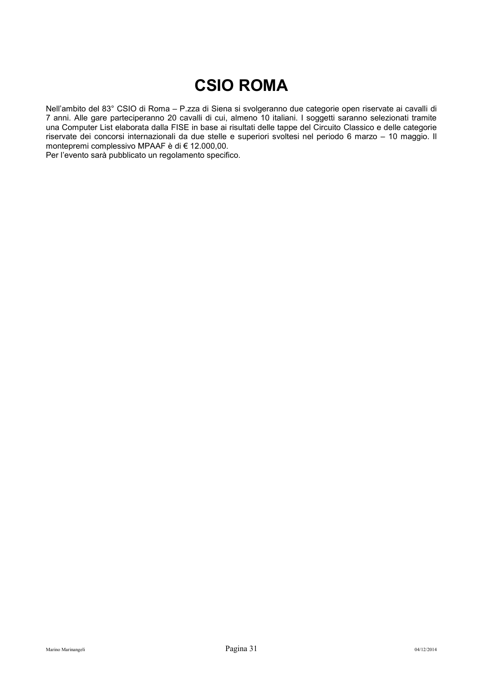## **CSIO ROMA**

<span id="page-31-0"></span>Nell'ambito del 83° CSIO di Roma – P.zza di Siena si svolgeranno due categorie open riservate ai cavalli di 7 anni. Alle gare parteciperanno 20 cavalli di cui, almeno 10 italiani. I soggetti saranno selezionati tramite una Computer List elaborata dalla FISE in base ai risultati delle tappe del Circuito Classico e delle categorie riservate dei concorsi internazionali da due stelle e superiori svoltesi nel periodo 6 marzo – 10 maggio. Il montepremi complessivo MPAAF è di € 12.000,00.

Per l'evento sarà pubblicato un regolamento specifico.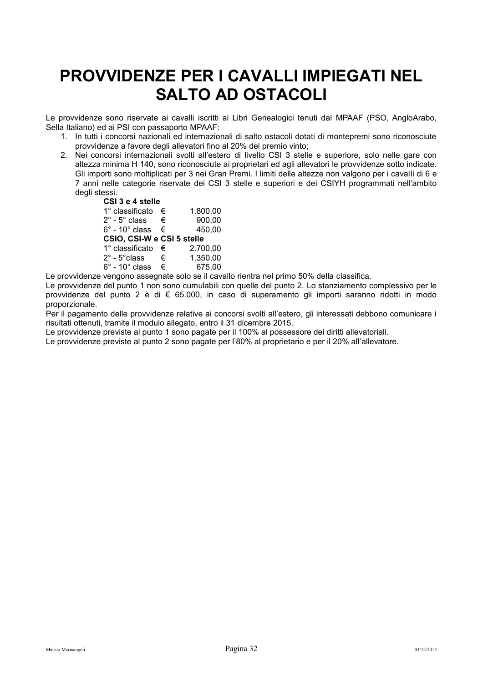## <span id="page-32-0"></span>**PROVVIDENZE PER I CAVALLI IMPIEGATI NEL SALTO AD OSTACOLI**

Le provvidenze sono riservate ai cavalli iscritti ai Libri Genealogici tenuti dal MPAAF (PSO, AngloArabo, Sella Italiano) ed ai PSI con passaporto MPAAF:

- 1. In tutti i concorsi nazionali ed internazionali di salto ostacoli dotati di montepremi sono riconosciute provvidenze a favore degli allevatori fino al 20% del premio vinto;
- 2. Nei concorsi internazionali svolti all'estero di livello CSI 3 stelle e superiore, solo nelle gare con altezza minima H 140, sono riconosciute ai proprietari ed agli allevatori le provvidenze sotto indicate. Gli importi sono moltiplicati per 3 nei Gran Premi. I limiti delle altezze non valgono per i cavalli di 6 e 7 anni nelle categorie riservate dei CSI 3 stelle e superiori e dei CSIYH programmati nell'ambito degli stessi.

**CSI 3 e 4 stelle** 

| 1° classificato                                                                                                 | € | 1.800,00 |
|-----------------------------------------------------------------------------------------------------------------|---|----------|
| $2^{\circ}$ - $5^{\circ}$ class                                                                                 | € | 900,00   |
| $6^\circ$ - 10 $^\circ$ class                                                                                   | € | 450,00   |
| CSIO, CSI-W e CSI 5 stelle                                                                                      |   |          |
| 1° classificato                                                                                                 | € | 2.700,00 |
| 2° - 5°class                                                                                                    | € | 1.350,00 |
| $6^\circ$ - 10 $^\circ$ class                                                                                   | € | 675,00   |
| the contract of the contract of the contract of the contract of the contract of the contract of the contract of |   |          |

Le provvidenze vengono assegnate solo se il cavallo rientra nel primo 50% della classifica.

Le provvidenze del punto 1 non sono cumulabili con quelle del punto 2. Lo stanziamento complessivo per le provvidenze del punto 2 è di € 65.000, in caso di superamento gli importi saranno ridotti in modo proporzionale.

Per il pagamento delle provvidenze relative ai concorsi svolti all'estero, gli interessati debbono comunicare i risultati ottenuti, tramite il modulo allegato, entro il 31 dicembre 2015.

Le provvidenze previste al punto 1 sono pagate per il 100% al possessore dei diritti allevatoriali.

Le provvidenze previste al punto 2 sono pagate per l'80% al proprietario e per il 20% all'allevatore.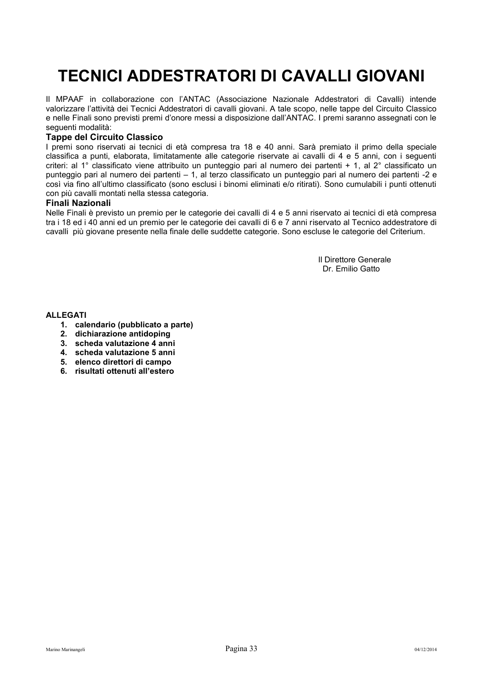## <span id="page-33-0"></span>**TECNICI ADDESTRATORI DI CAVALLI GIOVANI**

Il MPAAF in collaborazione con l'ANTAC (Associazione Nazionale Addestratori di Cavalli) intende valorizzare l'attività dei Tecnici Addestratori di cavalli giovani. A tale scopo, nelle tappe del Circuito Classico e nelle Finali sono previsti premi d'onore messi a disposizione dall'ANTAC. I premi saranno assegnati con le seguenti modalità:

#### **Tappe del Circuito Classico**

I premi sono riservati ai tecnici di età compresa tra 18 e 40 anni. Sarà premiato il primo della speciale classifica a punti, elaborata, limitatamente alle categorie riservate ai cavalli di 4 e 5 anni, con i seguenti criteri: al 1° classificato viene attribuito un punteggio pari al numero dei partenti + 1, al 2° classificato un punteggio pari al numero dei partenti – 1, al terzo classificato un punteggio pari al numero dei partenti -2 e così via fino all'ultimo classificato (sono esclusi i binomi eliminati e/o ritirati). Sono cumulabili i punti ottenuti con più cavalli montati nella stessa categoria.

#### **Finali Nazionali**

Nelle Finali è previsto un premio per le categorie dei cavalli di 4 e 5 anni riservato ai tecnici di età compresa tra i 18 ed i 40 anni ed un premio per le categorie dei cavalli di 6 e 7 anni riservato al Tecnico addestratore di cavalli più giovane presente nella finale delle suddette categorie. Sono escluse le categorie del Criterium.

> Il Direttore Generale Dr. Emilio Gatto

**ALLEGATI** 

- **1. calendario (pubblicato a parte)**
- **2. dichiarazione antidoping**
- **3. scheda valutazione 4 anni**
- **4. scheda valutazione 5 anni**
- **5. elenco direttori di campo**
- **6. risultati ottenuti all'estero**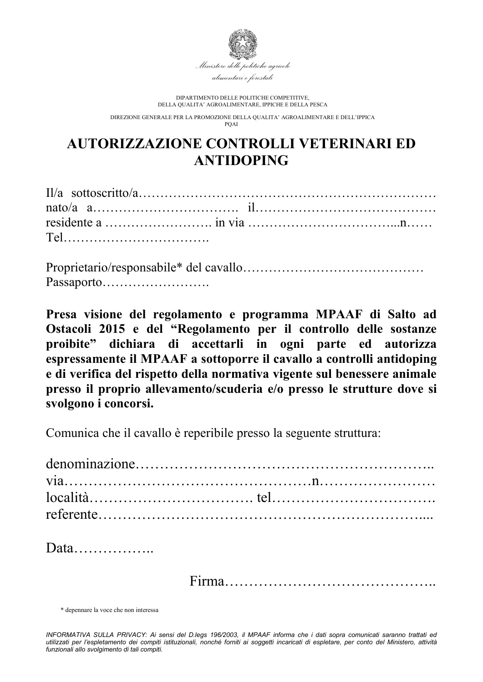

DIPARTIMENTO DELLE POLITICHE COMPETITIVE, DELLA QUALITA' AGROALIMENTARE, IPPICHE E DELLA PESCA

DIREZIONE GENERALE PER LA PROMOZIONE DELLA QUALITA' AGROALIMENTARE E DELL'IPPICA  $P\Omega \Delta I$ 

## **AUTORIZZAZIONE CONTROLLI VETERINARI ED ANTIDOPING**

Proprietario/responsabile\* del cavallo…………………………………… Passaporto…………………….

**Presa visione del regolamento e programma MPAAF di Salto ad Ostacoli 2015 e del "Regolamento per il controllo delle sostanze proibite" dichiara di accettarli in ogni parte ed autorizza espressamente il MPAAF a sottoporre il cavallo a controlli antidoping e di verifica del rispetto della normativa vigente sul benessere animale presso il proprio allevamento/scuderia e/o presso le strutture dove si svolgono i concorsi.** 

Comunica che il cavallo è reperibile presso la seguente struttura:

\* depennare la voce che non interessa

*INFORMATIVA SULLA PRIVACY: Ai sensi del D.legs 196/2003, il MPAAF informa che i dati sopra comunicati saranno trattati ed utilizzati per l'espletamento dei compiti istituzionali, nonché forniti ai soggetti incaricati di espletare, per conto del Ministero, attività funzionali allo svolgimento di tali compiti.*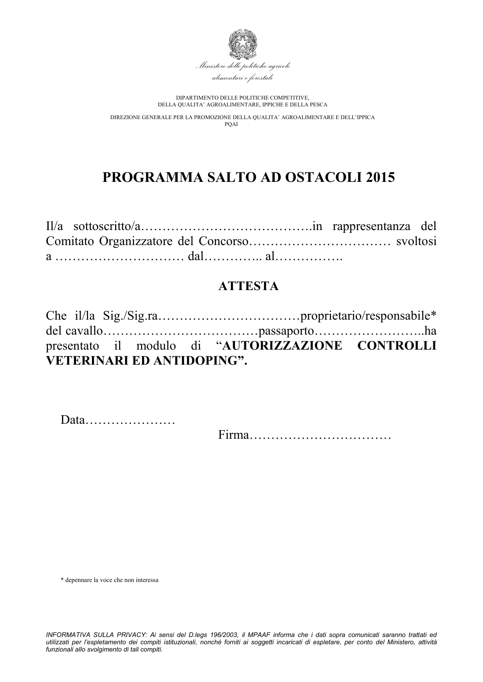

DIPARTIMENTO DELLE POLITICHE COMPETITIVE, DELLA QUALITA' AGROALIMENTARE, IPPICHE E DELLA PESCA

DIREZIONE GENERALE PER LA PROMOZIONE DELLA QUALITA' AGROALIMENTARE E DELL'IPPICA PQAI

## **PROGRAMMA SALTO AD OSTACOLI 2015**

## **ATTESTA**

|                                   |  | presentato il modulo di "AUTORIZZAZIONE CONTROLLI |  |
|-----------------------------------|--|---------------------------------------------------|--|
| <b>VETERINARI ED ANTIDOPING".</b> |  |                                                   |  |

Data…………………

Firma……………………………

\* depennare la voce che non interessa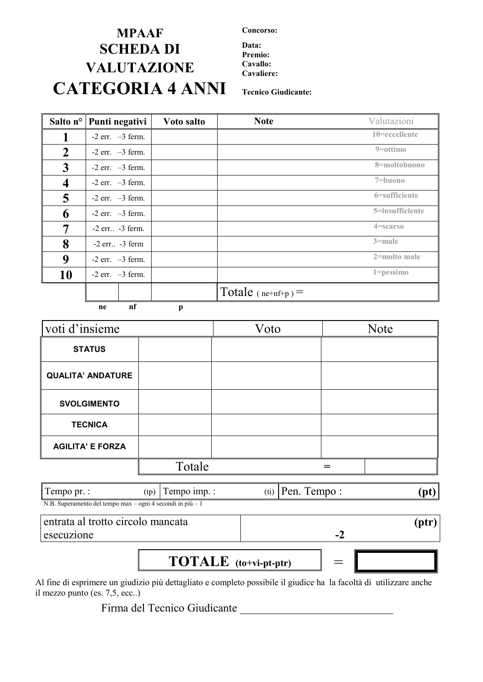## **MPAAF Concorso: SCHEDA DI Data: VALUTAZIONE Cavallo: CATEGORIA 4 ANNI Tecnico Giudicante:**

**Premio:**

**Cavaliere:**

|                         | Salto n <sup>o</sup> Punti negativi | Voto salto | <b>Note</b>          | Valutazioni     |
|-------------------------|-------------------------------------|------------|----------------------|-----------------|
|                         | $-2$ err. $-3$ ferm.                |            |                      | 10=eccellente   |
| $\boldsymbol{2}$        | $-2$ err. $-3$ ferm.                |            |                      | $9 = ottimo$    |
| $\mathbf{3}$            | $-2$ err. $-3$ ferm.                |            |                      | 8=moltobuono    |
| $\overline{\mathbf{4}}$ | $-2$ err. $-3$ ferm.                |            |                      | $7 = buono$     |
| 5                       | $-2$ err. $-3$ ferm.                |            |                      | 6=sufficiente   |
| 6                       | $-2$ err. $-3$ ferm.                |            |                      | 5=insufficiente |
| 7                       | $-2$ err $-3$ ferm.                 |            |                      | 4=scarso        |
| 8                       | $-2$ err. $-3$ ferm                 |            |                      | $3$ =male       |
| 9                       | $-2$ err. $-3$ ferm.                |            |                      | 2=molto male    |
| 10                      | $-2$ err. $-3$ ferm.                |            |                      | $1 = p$ essimo  |
|                         | $\bullet$                           |            | Totale $(ne+nf+p)$ = |                 |

 **ne nf p**

| voti d'insieme           |        | Voto | <b>Note</b> |
|--------------------------|--------|------|-------------|
| <b>STATUS</b>            |        |      |             |
| <b>QUALITA' ANDATURE</b> |        |      |             |
| <b>SVOLGIMENTO</b>       |        |      |             |
| <b>TECNICA</b>           |        |      |             |
| <b>AGILITA' E FORZA</b>  |        |      |             |
|                          | Totale |      |             |
|                          |        |      |             |

| Tempo pr. :                                                            | tp) | $1$ empo $1$ mp.: | 'tı | $1$ empo $\cdot$<br>∙en | 'nt |
|------------------------------------------------------------------------|-----|-------------------|-----|-------------------------|-----|
| N.B. Superamento del tempo max – ogni 4 secondi in più – $\frac{1}{1}$ |     |                   |     |                         |     |

entrata al trotto circolo mancata esecuzione

**-2**

**(ptr)**

 $\textbf{TOTABLE}$   $\textbf{(to+vi-pt-ptr)}$   $\qquad$ 

Al fine di esprimere un giudizio più dettagliato e completo possibile il giudice ha la facoltà di utilizzare anche il mezzo punto (es. 7,5, ecc..)

Firma del Tecnico Giudicante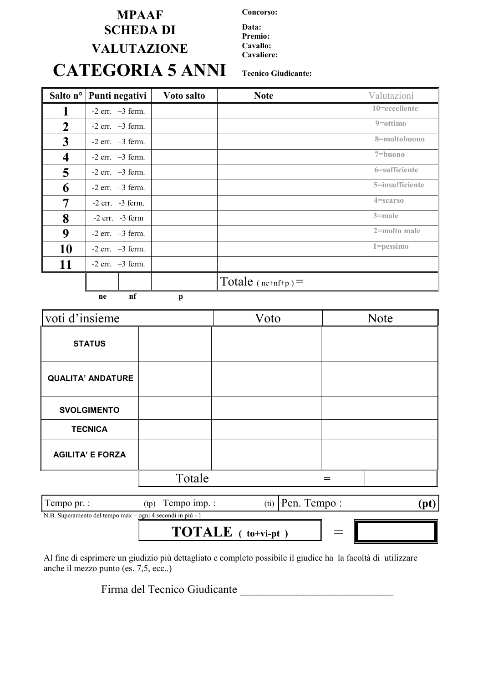## **MPAAF Concorso: SCHEDA DI** Data: **VALUTAZIONE Cavallo: CATEGORIA 5 ANNI Tecnico Giudicante:**

**Premio: Cavaliere:**

| Salto n°                | Punti negativi       | Voto salto | <b>Note</b>          | Valutazioni     |
|-------------------------|----------------------|------------|----------------------|-----------------|
|                         | $-2$ err. $-3$ ferm. |            |                      | 10=eccellente   |
| $\mathbf 2$             | $-2$ err. $-3$ ferm. |            |                      | $9 = 0$ ottimo  |
| 3                       | $-2$ err. $-3$ ferm. |            |                      | 8=moltobuono    |
| $\overline{\mathbf{4}}$ | $-2$ err. $-3$ ferm. |            |                      | 7=buono         |
| 5                       | $-2$ err. $-3$ ferm. |            |                      | 6=sufficiente   |
| 6                       | $-2$ err. $-3$ ferm. |            |                      | 5=insufficiente |
| 7                       | $-2$ err. $-3$ ferm. |            |                      | $4 =$ scarso    |
| 8                       | $-2$ err. $-3$ ferm  |            |                      | $3$ =male       |
| 9                       | $-2$ err. $-3$ ferm. |            |                      | 2=molto male    |
| 10                      | $-2$ err. $-3$ ferm. |            |                      | $1 = p$ essimo  |
| 11                      | $-2$ err. $-3$ ferm. |            |                      |                 |
|                         |                      |            | Totale $(ne+nf+p)$ = |                 |

 **ne nf p**

| voti d'insieme           |        | Voto | <b>Note</b> |
|--------------------------|--------|------|-------------|
| <b>STATUS</b>            |        |      |             |
| <b>QUALITA' ANDATURE</b> |        |      |             |
| <b>SVOLGIMENTO</b>       |        |      |             |
| <b>TECNICA</b>           |        |      |             |
| <b>AGILITA' E FORZA</b>  |        |      |             |
|                          | Totale |      |             |

| Tempo pr. :                                                | (tp) | Tempo imp.:                      |  |  | $(ii)$ Pen. Tempo: |  |
|------------------------------------------------------------|------|----------------------------------|--|--|--------------------|--|
| N.B. Superamento del tempo max – ogni 4 secondi in più - 1 |      |                                  |  |  |                    |  |
|                                                            |      | <b>TOTALE</b> $(t_0 + v_i - pt)$ |  |  |                    |  |

Al fine di esprimere un giudizio più dettagliato e completo possibile il giudice ha la facoltà di utilizzare anche il mezzo punto (es. 7,5, ecc..)

Firma del Tecnico Giudicante \_\_\_\_\_\_\_\_\_\_\_\_\_\_\_\_\_\_\_\_\_\_\_\_\_\_\_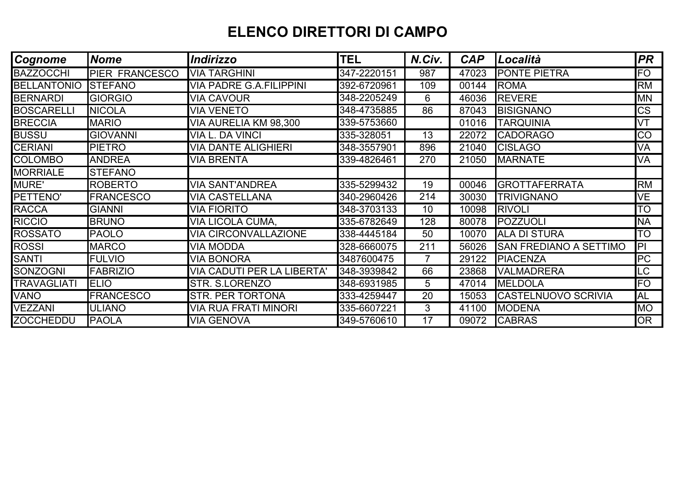## **ELENCO DIRETTORI DI CAMPO**

| Cognome            | <b>Nome</b>           | <b>Indirizzo</b>                  | <b>TEL</b>  | N.Civ.          | <b>CAP</b> | Località                      | <b>PR</b>              |  |
|--------------------|-----------------------|-----------------------------------|-------------|-----------------|------------|-------------------------------|------------------------|--|
| <b>BAZZOCCHI</b>   | <b>PIER FRANCESCO</b> | <b>VIA TARGHINI</b>               | 347-2220151 | 987             | 47023      | <b>PONTE PIETRA</b>           | FO                     |  |
| <b>BELLANTONIO</b> | <b>STEFANO</b>        | <b>VIA PADRE G.A.FILIPPINI</b>    | 392-6720961 | 109             | 00144      | <b>ROMA</b>                   | <b>RM</b>              |  |
| <b>BERNARDI</b>    | <b>GIORGIO</b>        | <b>VIA CAVOUR</b>                 | 348-2205249 | 6               | 46036      | <b>REVERE</b>                 | <b>MN</b>              |  |
| <b>BOSCARELLI</b>  | <b>NICOLA</b>         | <b>VIA VENETO</b>                 | 348-4735885 | 86              | 87043      | <b>BISIGNANO</b>              | $\overline{\text{CS}}$ |  |
| <b>BRECCIA</b>     | <b>MARIO</b>          | VIA AURELIA KM 98,300             | 339-5753660 |                 | 01016      | <b>TARQUINIA</b>              | VT                     |  |
| <b>BUSSU</b>       | <b>GIOVANNI</b>       | VIA L. DA VINCI                   | 335-328051  | 13              | 22072      | <b>CADORAGO</b>               | <b>CO</b>              |  |
| <b>CERIANI</b>     | <b>PIETRO</b>         | <b>VIA DANTE ALIGHIERI</b>        | 348-3557901 | 896             | 21040      | <b>CISLAGO</b>                | VA                     |  |
| <b>COLOMBO</b>     | <b>ANDREA</b>         | <b>VIA BRENTA</b>                 | 339-4826461 | 270             | 21050      | <b>MARNATE</b>                | VA                     |  |
| <b>MORRIALE</b>    | <b>STEFANO</b>        |                                   |             |                 |            |                               |                        |  |
| <b>MURE'</b>       | <b>ROBERTO</b>        | <b>VIA SANT'ANDREA</b>            | 335-5299432 | 19              | 00046      | <b>GROTTAFERRATA</b>          | <b>RM</b>              |  |
| PETTENO'           | <b>FRANCESCO</b>      | <b>VIA CASTELLANA</b>             | 340-2960426 | 214             | 30030      | <b>TRIVIGNANO</b>             | VE                     |  |
| <b>RACCA</b>       | <b>GIANNI</b>         | <b>VIA FIORITO</b>                | 348-3703133 | 10 <sup>°</sup> | 10098      | <b>RIVOLI</b>                 | <b>TO</b>              |  |
| <b>RICCIO</b>      | <b>BRUNO</b>          | VIA LICOLA CUMA,                  | 335-6782649 | 128             | 80078      | POZZUOLI                      | <b>NA</b>              |  |
| <b>ROSSATO</b>     | <b>PAOLO</b>          | <b>VIA CIRCONVALLAZIONE</b>       | 338-4445184 | 50              | 10070      | <b>ALA DI STURA</b>           | <b>TO</b>              |  |
| <b>ROSSI</b>       | <b>MARCO</b>          | VIA MODDA                         | 328-6660075 | 211             | 56026      | <b>SAN FREDIANO A SETTIMO</b> | IPI                    |  |
| <b>SANTI</b>       | <b>FULVIO</b>         | <b>VIA BONORA</b>                 | 3487600475  |                 | 29122      | <b>PIACENZA</b>               | PC                     |  |
| SONZOGNI           | <b>FABRIZIO</b>       | <b>VIA CADUTI PER LA LIBERTA'</b> | 348-3939842 | 66              | 23868      | <b>VALMADRERA</b>             | LC                     |  |
| <b>TRAVAGLIATI</b> | <b>ELIO</b>           | STR. S.LORENZO                    | 348-6931985 | 5               | 47014      | <b>MELDOLA</b>                | <b>FO</b>              |  |
| <b>VANO</b>        | <b>FRANCESCO</b>      | <b>STR. PER TORTONA</b>           | 333-4259447 | 20              | 15053      | <b>CASTELNUOVO SCRIVIA</b>    | <b>AL</b>              |  |
| <b>VEZZANI</b>     | <b>ULIANO</b>         | VIA RUA FRATI MINORI              | 335-6607221 | 3               | 41100      | <b>MODENA</b>                 | <b>MO</b>              |  |
| <b>ZOCCHEDDU</b>   | <b>PAOLA</b>          | <b>VIA GENOVA</b>                 | 349-5760610 | 17              | 09072      | <b>CABRAS</b>                 | <b>OR</b>              |  |